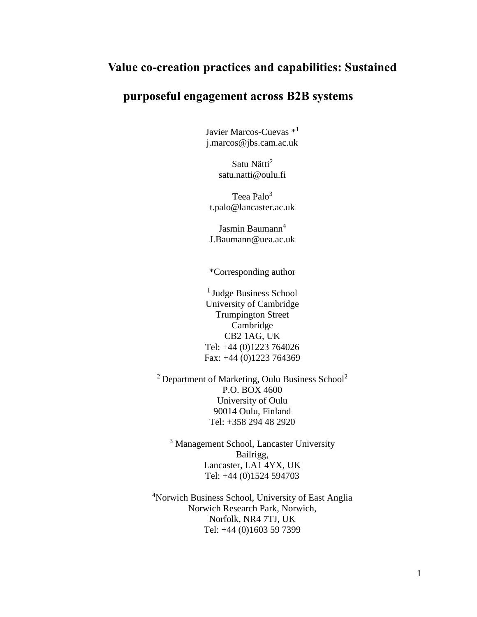# **Value co-creation practices and capabilities: Sustained**

# **purposeful engagement across B2B systems**

Javier Marcos-Cuevas \*<sup>1</sup> j.marcos@jbs.cam.ac.uk

> Satu Nätti<sup>2</sup> satu.natti@oulu.fi

Teea Palo<sup>3</sup> t.palo@lancaster.ac.uk

Jasmin Baumann<sup>4</sup> J.Baumann@uea.ac.uk

\*Corresponding author

<sup>1</sup> Judge Business School University of Cambridge Trumpington Street Cambridge CB2 1AG, UK Tel: +44 (0)1223 764026 Fax: +44 (0)1223 764369

 $2$  Department of Marketing, Oulu Business School<sup>2</sup> P.O. BOX 4600 University of Oulu 90014 Oulu, Finland Tel: +358 294 48 2920

<sup>3</sup> Management School, Lancaster University Bailrigg, Lancaster, LA1 4YX, UK Tel: +44 (0)1524 594703

<sup>4</sup>Norwich Business School, University of East Anglia Norwich Research Park, Norwich, Norfolk, NR4 7TJ, UK Tel: +44 (0)1603 59 7399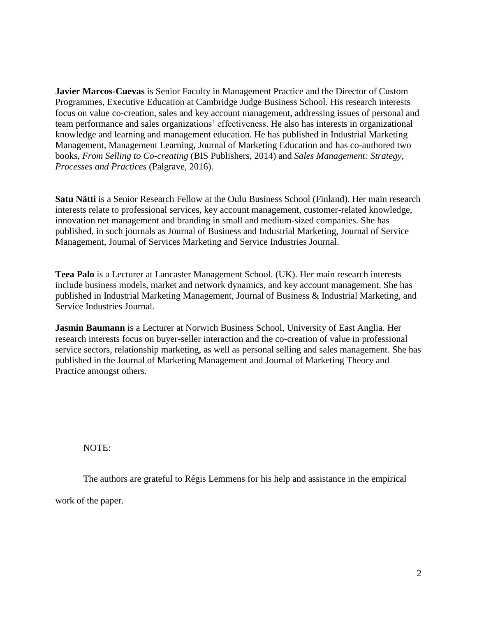**Javier Marcos-Cuevas** is Senior Faculty in Management Practice and the Director of Custom Programmes, Executive Education at Cambridge Judge Business School. His research interests focus on value co-creation, sales and key account management, addressing issues of personal and team performance and sales organizations' effectiveness. He also has interests in organizational knowledge and learning and management education. He has published in Industrial Marketing Management, Management Learning, Journal of Marketing Education and has co-authored two books, *From Selling to Co-creating* (BIS Publishers, 2014) and *Sales Management: Strategy, Processes and Practices* (Palgrave, 2016).

**Satu Nätti** is a Senior Research Fellow at the Oulu Business School (Finland). Her main research interests relate to professional services, key account management, customer-related knowledge, innovation net management and branding in small and medium-sized companies. She has published, in such journals as Journal of Business and Industrial Marketing, Journal of Service Management, Journal of Services Marketing and Service Industries Journal.

**Teea Palo** is a Lecturer at Lancaster Management School. (UK). Her main research interests include business models, market and network dynamics, and key account management. She has published in Industrial Marketing Management, Journal of Business & Industrial Marketing, and Service Industries Journal.

**Jasmin Baumann** is a Lecturer at Norwich Business School, University of East Anglia. Her research interests focus on buyer-seller interaction and the co-creation of value in professional service sectors, relationship marketing, as well as personal selling and sales management. She has published in the Journal of Marketing Management and Journal of Marketing Theory and Practice amongst others.

NOTE:

The authors are grateful to Régis Lemmens for his help and assistance in the empirical

work of the paper.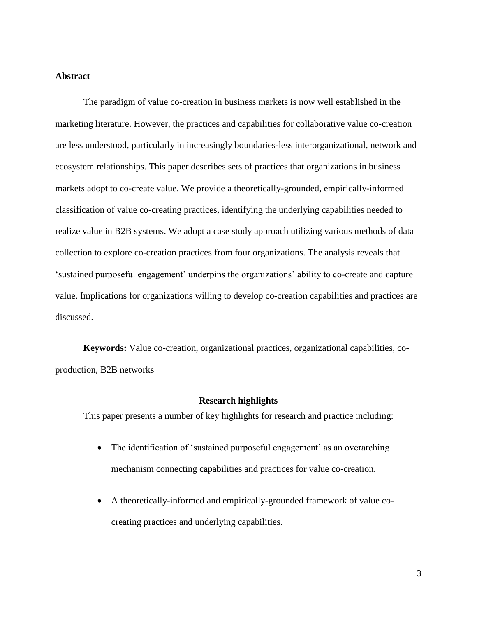### **Abstract**

The paradigm of value co-creation in business markets is now well established in the marketing literature. However, the practices and capabilities for collaborative value co-creation are less understood, particularly in increasingly boundaries-less interorganizational, network and ecosystem relationships. This paper describes sets of practices that organizations in business markets adopt to co-create value. We provide a theoretically-grounded, empirically-informed classification of value co-creating practices, identifying the underlying capabilities needed to realize value in B2B systems. We adopt a case study approach utilizing various methods of data collection to explore co-creation practices from four organizations. The analysis reveals that 'sustained purposeful engagement' underpins the organizations' ability to co-create and capture value. Implications for organizations willing to develop co-creation capabilities and practices are discussed.

**Keywords:** Value co-creation, organizational practices, organizational capabilities, coproduction, B2B networks

### **Research highlights**

This paper presents a number of key highlights for research and practice including:

- The identification of 'sustained purposeful engagement' as an overarching mechanism connecting capabilities and practices for value co-creation.
- A theoretically-informed and empirically-grounded framework of value cocreating practices and underlying capabilities.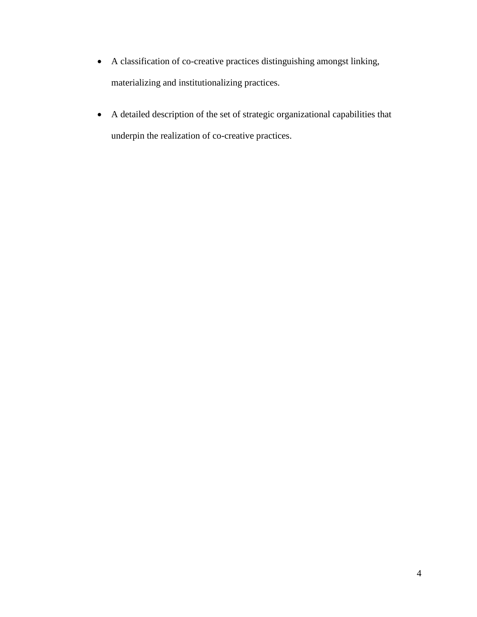- A classification of co-creative practices distinguishing amongst linking, materializing and institutionalizing practices.
- A detailed description of the set of strategic organizational capabilities that underpin the realization of co-creative practices.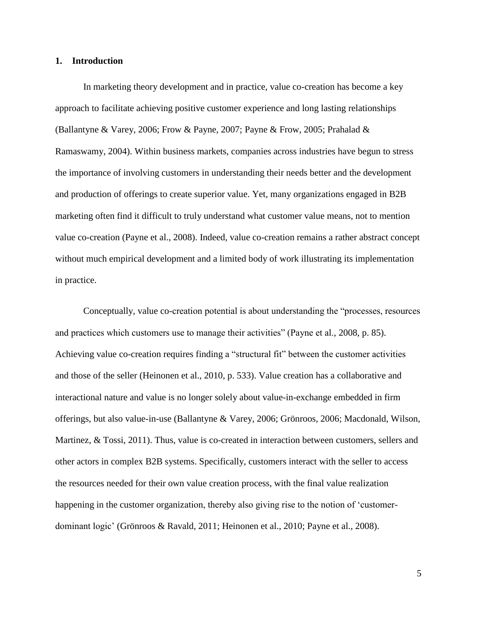### **1. Introduction**

In marketing theory development and in practice, value co-creation has become a key approach to facilitate achieving positive customer experience and long lasting relationships (Ballantyne & Varey, 2006; Frow & Payne, 2007; Payne & Frow, 2005; Prahalad & Ramaswamy, 2004). Within business markets, companies across industries have begun to stress the importance of involving customers in understanding their needs better and the development and production of offerings to create superior value. Yet, many organizations engaged in B2B marketing often find it difficult to truly understand what customer value means, not to mention value co-creation (Payne et al., 2008). Indeed, value co-creation remains a rather abstract concept without much empirical development and a limited body of work illustrating its implementation in practice.

Conceptually, value co-creation potential is about understanding the "processes, resources and practices which customers use to manage their activities" (Payne et al., 2008, p. 85). Achieving value co-creation requires finding a "structural fit" between the customer activities and those of the seller (Heinonen et al., 2010, p. 533). Value creation has a collaborative and interactional nature and value is no longer solely about value-in-exchange embedded in firm offerings, but also value-in-use (Ballantyne & Varey, 2006; Grönroos, 2006; Macdonald, Wilson, Martinez, & Tossi, 2011). Thus, value is co-created in interaction between customers, sellers and other actors in complex B2B systems. Specifically, customers interact with the seller to access the resources needed for their own value creation process, with the final value realization happening in the customer organization, thereby also giving rise to the notion of 'customerdominant logic' (Grönroos & Ravald, 2011; Heinonen et al., 2010; Payne et al., 2008).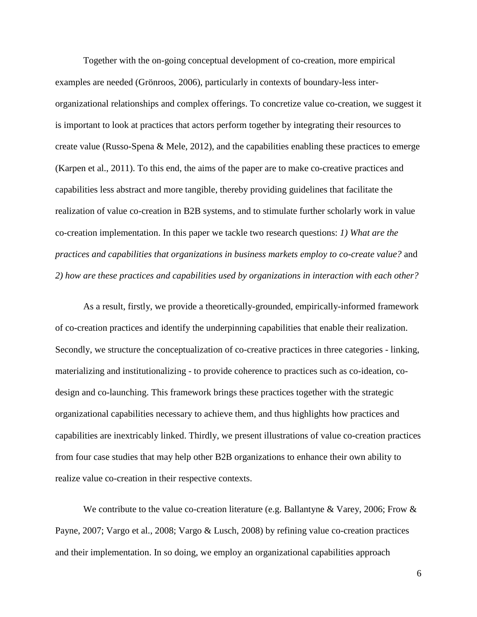Together with the on-going conceptual development of co-creation, more empirical examples are needed (Grönroos, 2006), particularly in contexts of boundary-less interorganizational relationships and complex offerings. To concretize value co-creation, we suggest it is important to look at practices that actors perform together by integrating their resources to create value (Russo-Spena & Mele, 2012), and the capabilities enabling these practices to emerge (Karpen et al., 2011). To this end, the aims of the paper are to make co-creative practices and capabilities less abstract and more tangible, thereby providing guidelines that facilitate the realization of value co-creation in B2B systems, and to stimulate further scholarly work in value co-creation implementation. In this paper we tackle two research questions: *1) What are the practices and capabilities that organizations in business markets employ to co-create value?* and *2) how are these practices and capabilities used by organizations in interaction with each other?*

As a result, firstly, we provide a theoretically-grounded, empirically-informed framework of co-creation practices and identify the underpinning capabilities that enable their realization. Secondly, we structure the conceptualization of co-creative practices in three categories - linking, materializing and institutionalizing - to provide coherence to practices such as co-ideation, codesign and co-launching. This framework brings these practices together with the strategic organizational capabilities necessary to achieve them, and thus highlights how practices and capabilities are inextricably linked. Thirdly, we present illustrations of value co-creation practices from four case studies that may help other B2B organizations to enhance their own ability to realize value co-creation in their respective contexts.

We contribute to the value co-creation literature (e.g. Ballantyne & Varey, 2006; Frow & Payne, 2007; Vargo et al., 2008; Vargo & Lusch, 2008) by refining value co-creation practices and their implementation. In so doing, we employ an organizational capabilities approach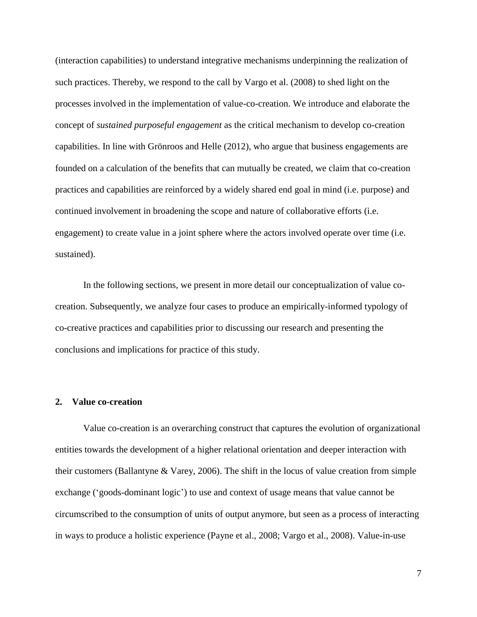(interaction capabilities) to understand integrative mechanisms underpinning the realization of such practices. Thereby, we respond to the call by Vargo et al. (2008) to shed light on the processes involved in the implementation of value-co-creation. We introduce and elaborate the concept of *sustained purposeful engagement* as the critical mechanism to develop co-creation capabilities. In line with Grönroos and Helle (2012), who argue that business engagements are founded on a calculation of the benefits that can mutually be created, we claim that co-creation practices and capabilities are reinforced by a widely shared end goal in mind (i.e. purpose) and continued involvement in broadening the scope and nature of collaborative efforts (i.e. engagement) to create value in a joint sphere where the actors involved operate over time (i.e. sustained).

In the following sections, we present in more detail our conceptualization of value cocreation. Subsequently, we analyze four cases to produce an empirically-informed typology of co-creative practices and capabilities prior to discussing our research and presenting the conclusions and implications for practice of this study.

#### **2. Value co-creation**

Value co-creation is an overarching construct that captures the evolution of organizational entities towards the development of a higher relational orientation and deeper interaction with their customers (Ballantyne & Varey, 2006). The shift in the locus of value creation from simple exchange ('goods-dominant logic') to use and context of usage means that value cannot be circumscribed to the consumption of units of output anymore, but seen as a process of interacting in ways to produce a holistic experience (Payne et al., 2008; Vargo et al., 2008). Value-in-use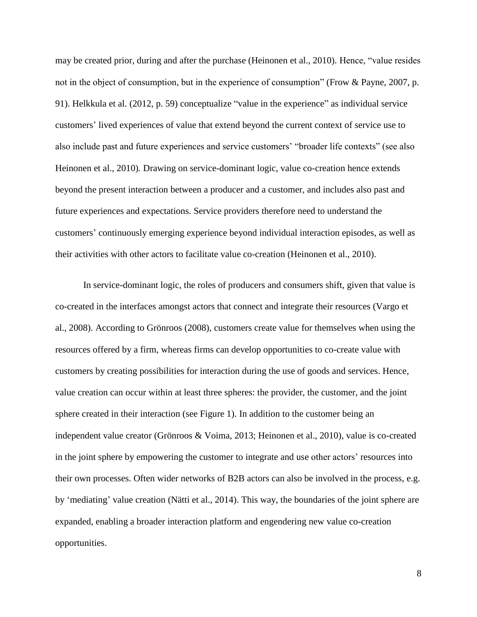may be created prior, during and after the purchase (Heinonen et al., 2010). Hence, "value resides not in the object of consumption, but in the experience of consumption" (Frow & Payne, 2007, p. 91). Helkkula et al. (2012, p. 59) conceptualize "value in the experience" as individual service customers' lived experiences of value that extend beyond the current context of service use to also include past and future experiences and service customers' "broader life contexts" (see also Heinonen et al., 2010)*.* Drawing on service-dominant logic, value co-creation hence extends beyond the present interaction between a producer and a customer, and includes also past and future experiences and expectations. Service providers therefore need to understand the customers' continuously emerging experience beyond individual interaction episodes, as well as their activities with other actors to facilitate value co-creation (Heinonen et al., 2010).

In service-dominant logic, the roles of producers and consumers shift, given that value is co-created in the interfaces amongst actors that connect and integrate their resources (Vargo et al., 2008). According to Grönroos (2008), customers create value for themselves when using the resources offered by a firm, whereas firms can develop opportunities to co-create value with customers by creating possibilities for interaction during the use of goods and services. Hence, value creation can occur within at least three spheres: the provider, the customer, and the joint sphere created in their interaction (see Figure 1). In addition to the customer being an independent value creator (Grönroos & Voima, 2013; Heinonen et al., 2010), value is co-created in the joint sphere by empowering the customer to integrate and use other actors' resources into their own processes. Often wider networks of B2B actors can also be involved in the process, e.g. by 'mediating' value creation (Nätti et al., 2014). This way, the boundaries of the joint sphere are expanded, enabling a broader interaction platform and engendering new value co-creation opportunities.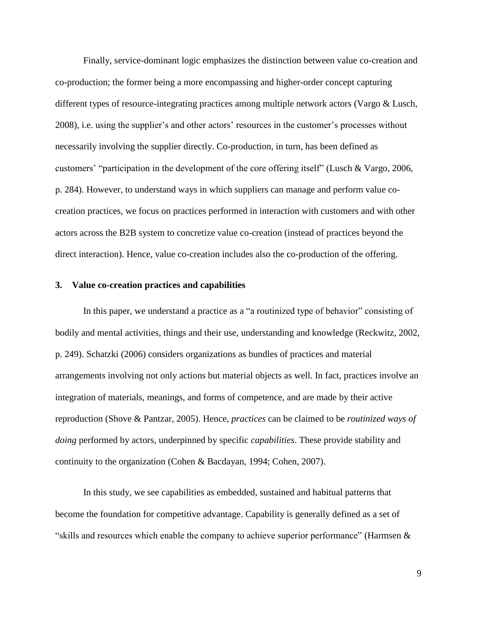Finally, service-dominant logic emphasizes the distinction between value co-creation and co-production; the former being a more encompassing and higher-order concept capturing different types of resource-integrating practices among multiple network actors (Vargo & Lusch, 2008), i.e. using the supplier's and other actors' resources in the customer's processes without necessarily involving the supplier directly. Co-production, in turn, has been defined as customers' "participation in the development of the core offering itself" (Lusch & Vargo, 2006, p. 284). However, to understand ways in which suppliers can manage and perform value cocreation practices, we focus on practices performed in interaction with customers and with other actors across the B2B system to concretize value co-creation (instead of practices beyond the direct interaction). Hence, value co-creation includes also the co-production of the offering.

#### **3. Value co-creation practices and capabilities**

In this paper, we understand a practice as a "a routinized type of behavior" consisting of bodily and mental activities, things and their use, understanding and knowledge (Reckwitz, 2002, p. 249). Schatzki (2006) considers organizations as bundles of practices and material arrangements involving not only actions but material objects as well. In fact, practices involve an integration of materials, meanings, and forms of competence, and are made by their active reproduction (Shove & Pantzar, 2005). Hence, *practices* can be claimed to be *routinized ways of doing* performed by actors, underpinned by specific *capabilities*. These provide stability and continuity to the organization (Cohen & Bacdayan, 1994; Cohen, 2007).

In this study, we see capabilities as embedded, sustained and habitual patterns that become the foundation for competitive advantage. Capability is generally defined as a set of "skills and resources which enable the company to achieve superior performance" (Harmsen &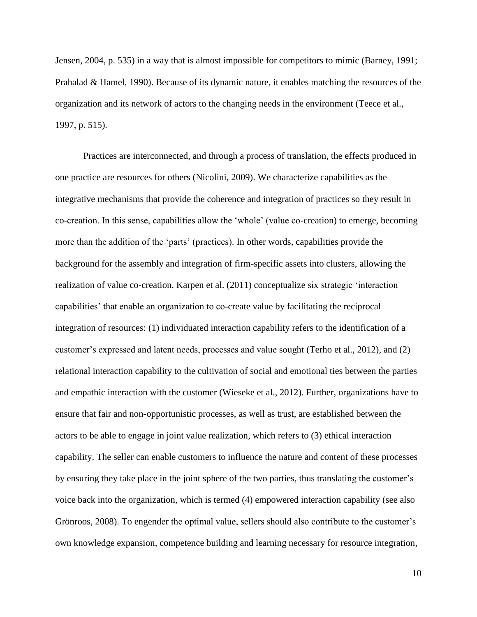Jensen, 2004, p. 535) in a way that is almost impossible for competitors to mimic (Barney, 1991; Prahalad & Hamel, 1990). Because of its dynamic nature, it enables matching the resources of the organization and its network of actors to the changing needs in the environment (Teece et al., 1997, p. 515).

Practices are interconnected, and through a process of translation, the effects produced in one practice are resources for others (Nicolini, 2009). We characterize capabilities as the integrative mechanisms that provide the coherence and integration of practices so they result in co-creation. In this sense, capabilities allow the 'whole' (value co-creation) to emerge, becoming more than the addition of the 'parts' (practices). In other words, capabilities provide the background for the assembly and integration of firm-specific assets into clusters, allowing the realization of value co-creation. Karpen et al. (2011) conceptualize six strategic 'interaction capabilities' that enable an organization to co-create value by facilitating the reciprocal integration of resources: (1) individuated interaction capability refers to the identification of a customer's expressed and latent needs, processes and value sought (Terho et al., 2012), and (2) relational interaction capability to the cultivation of social and emotional ties between the parties and empathic interaction with the customer (Wieseke et al., 2012). Further, organizations have to ensure that fair and non-opportunistic processes, as well as trust, are established between the actors to be able to engage in joint value realization, which refers to (3) ethical interaction capability. The seller can enable customers to influence the nature and content of these processes by ensuring they take place in the joint sphere of the two parties, thus translating the customer's voice back into the organization, which is termed (4) empowered interaction capability (see also Grönroos, 2008). To engender the optimal value, sellers should also contribute to the customer's own knowledge expansion, competence building and learning necessary for resource integration,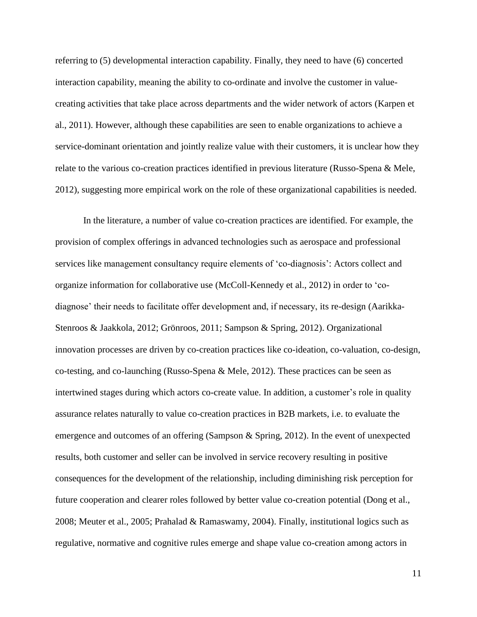referring to (5) developmental interaction capability. Finally, they need to have (6) concerted interaction capability, meaning the ability to co-ordinate and involve the customer in valuecreating activities that take place across departments and the wider network of actors (Karpen et al., 2011). However, although these capabilities are seen to enable organizations to achieve a service-dominant orientation and jointly realize value with their customers, it is unclear how they relate to the various co-creation practices identified in previous literature (Russo-Spena & Mele, 2012), suggesting more empirical work on the role of these organizational capabilities is needed.

In the literature, a number of value co-creation practices are identified. For example, the provision of complex offerings in advanced technologies such as aerospace and professional services like management consultancy require elements of 'co-diagnosis': Actors collect and organize information for collaborative use (McColl-Kennedy et al., 2012) in order to 'codiagnose' their needs to facilitate offer development and, if necessary, its re-design (Aarikka-Stenroos & Jaakkola, 2012; Grönroos, 2011; Sampson & Spring, 2012). Organizational innovation processes are driven by co-creation practices like co-ideation, co-valuation, co-design, co-testing, and co-launching (Russo-Spena & Mele, 2012). These practices can be seen as intertwined stages during which actors co-create value. In addition, a customer's role in quality assurance relates naturally to value co-creation practices in B2B markets, i.e. to evaluate the emergence and outcomes of an offering (Sampson & Spring, 2012). In the event of unexpected results, both customer and seller can be involved in service recovery resulting in positive consequences for the development of the relationship, including diminishing risk perception for future cooperation and clearer roles followed by better value co-creation potential (Dong et al., 2008; Meuter et al., 2005; Prahalad & Ramaswamy, 2004). Finally, institutional logics such as regulative, normative and cognitive rules emerge and shape value co-creation among actors in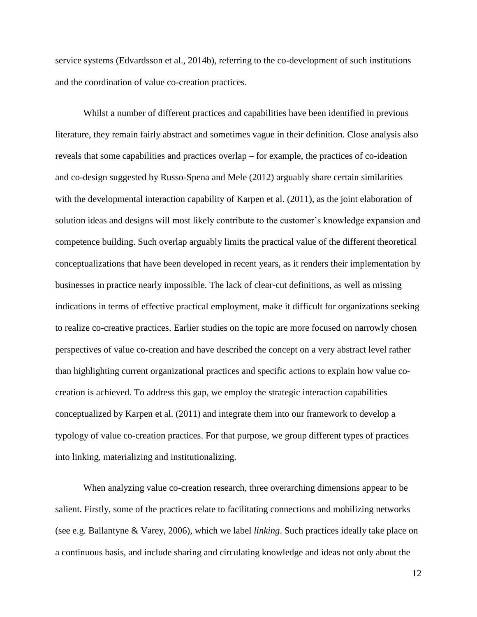service systems (Edvardsson et al., 2014b), referring to the co-development of such institutions and the coordination of value co-creation practices.

Whilst a number of different practices and capabilities have been identified in previous literature, they remain fairly abstract and sometimes vague in their definition. Close analysis also reveals that some capabilities and practices overlap – for example, the practices of co-ideation and co-design suggested by Russo-Spena and Mele (2012) arguably share certain similarities with the developmental interaction capability of Karpen et al. (2011), as the joint elaboration of solution ideas and designs will most likely contribute to the customer's knowledge expansion and competence building. Such overlap arguably limits the practical value of the different theoretical conceptualizations that have been developed in recent years, as it renders their implementation by businesses in practice nearly impossible. The lack of clear-cut definitions, as well as missing indications in terms of effective practical employment, make it difficult for organizations seeking to realize co-creative practices. Earlier studies on the topic are more focused on narrowly chosen perspectives of value co-creation and have described the concept on a very abstract level rather than highlighting current organizational practices and specific actions to explain how value cocreation is achieved. To address this gap, we employ the strategic interaction capabilities conceptualized by Karpen et al. (2011) and integrate them into our framework to develop a typology of value co-creation practices. For that purpose, we group different types of practices into linking, materializing and institutionalizing.

When analyzing value co-creation research, three overarching dimensions appear to be salient. Firstly, some of the practices relate to facilitating connections and mobilizing networks (see e.g. Ballantyne & Varey, 2006), which we label *linking*. Such practices ideally take place on a continuous basis, and include sharing and circulating knowledge and ideas not only about the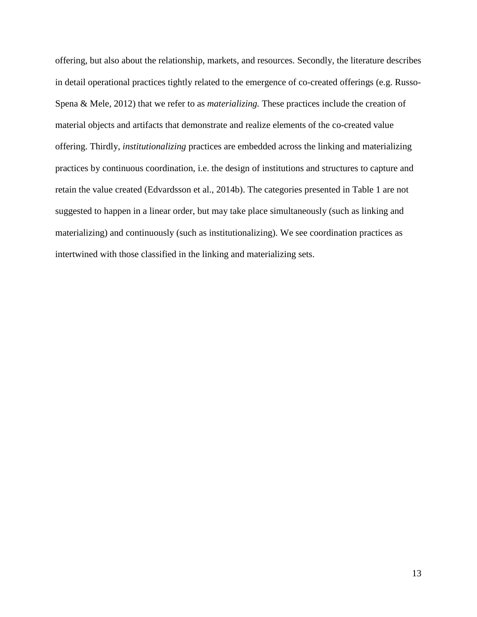offering, but also about the relationship, markets, and resources. Secondly, the literature describes in detail operational practices tightly related to the emergence of co-created offerings (e.g. Russo-Spena & Mele, 2012) that we refer to as *materializing.* These practices include the creation of material objects and artifacts that demonstrate and realize elements of the co-created value offering. Thirdly, *institutionalizing* practices are embedded across the linking and materializing practices by continuous coordination, i.e. the design of institutions and structures to capture and retain the value created (Edvardsson et al., 2014b). The categories presented in Table 1 are not suggested to happen in a linear order, but may take place simultaneously (such as linking and materializing) and continuously (such as institutionalizing). We see coordination practices as intertwined with those classified in the linking and materializing sets.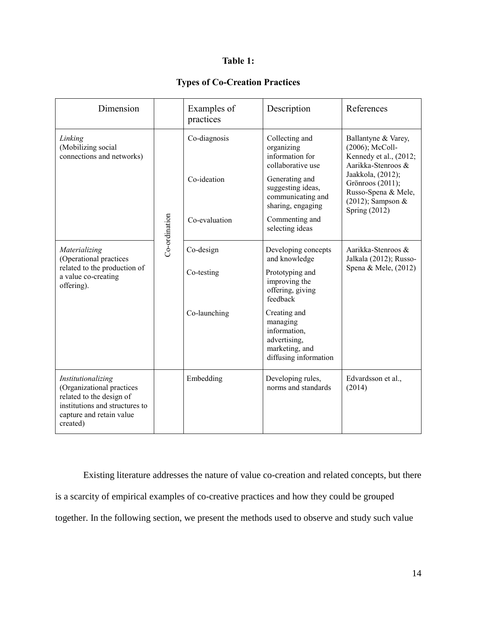## **Table 1:**

## **Types of Co-Creation Practices**

| Dimension                                                                                                                                             |  | Examples of<br>practices                     | Description                                                                                                                                                                                | References                                                                                                                                                                                     |  |
|-------------------------------------------------------------------------------------------------------------------------------------------------------|--|----------------------------------------------|--------------------------------------------------------------------------------------------------------------------------------------------------------------------------------------------|------------------------------------------------------------------------------------------------------------------------------------------------------------------------------------------------|--|
| Linking<br>(Mobilizing social<br>connections and networks)<br>Co-ordination                                                                           |  | Co-diagnosis<br>Co-ideation<br>Co-evaluation | Collecting and<br>organizing<br>information for<br>collaborative use<br>Generating and<br>suggesting ideas,<br>communicating and<br>sharing, engaging<br>Commenting and<br>selecting ideas | Ballantyne & Varey,<br>(2006); McColl-<br>Kennedy et al., (2012;<br>Aarikka-Stenroos &<br>Jaakkola, (2012);<br>Grönroos (2011);<br>Russo-Spena & Mele,<br>(2012); Sampson &<br>Spring $(2012)$ |  |
| Materializing<br>(Operational practices<br>related to the production of<br>a value co-creating<br>offering).                                          |  | Co-design<br>Co-testing<br>Co-launching      | Developing concepts<br>and knowledge<br>Prototyping and<br>improving the<br>offering, giving<br>feedback<br>Creating and                                                                   | Aarikka-Stenroos &<br>Jalkala (2012); Russo-<br>Spena & Mele, (2012)                                                                                                                           |  |
|                                                                                                                                                       |  |                                              | managing<br>information,<br>advertising,<br>marketing, and<br>diffusing information                                                                                                        |                                                                                                                                                                                                |  |
| Institutionalizing<br>(Organizational practices<br>related to the design of<br>institutions and structures to<br>capture and retain value<br>created) |  | Embedding                                    | Developing rules,<br>norms and standards                                                                                                                                                   | Edvardsson et al.,<br>(2014)                                                                                                                                                                   |  |

Existing literature addresses the nature of value co-creation and related concepts, but there is a scarcity of empirical examples of co-creative practices and how they could be grouped together. In the following section, we present the methods used to observe and study such value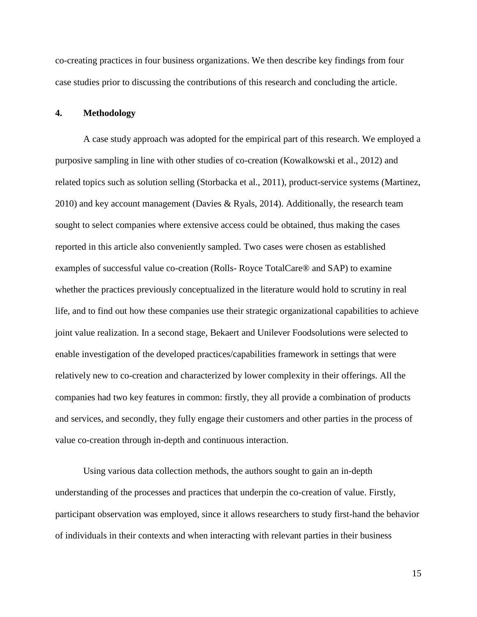co-creating practices in four business organizations. We then describe key findings from four case studies prior to discussing the contributions of this research and concluding the article.

#### **4. Methodology**

A case study approach was adopted for the empirical part of this research. We employed a purposive sampling in line with other studies of co-creation (Kowalkowski et al., 2012) and related topics such as solution selling (Storbacka et al., 2011), product-service systems (Martinez, 2010) and key account management (Davies & Ryals, 2014). Additionally, the research team sought to select companies where extensive access could be obtained, thus making the cases reported in this article also conveniently sampled. Two cases were chosen as established examples of successful value co-creation (Rolls- Royce TotalCare® and SAP) to examine whether the practices previously conceptualized in the literature would hold to scrutiny in real life, and to find out how these companies use their strategic organizational capabilities to achieve joint value realization. In a second stage, Bekaert and Unilever Foodsolutions were selected to enable investigation of the developed practices/capabilities framework in settings that were relatively new to co-creation and characterized by lower complexity in their offerings. All the companies had two key features in common: firstly, they all provide a combination of products and services, and secondly, they fully engage their customers and other parties in the process of value co-creation through in-depth and continuous interaction.

Using various data collection methods, the authors sought to gain an in-depth understanding of the processes and practices that underpin the co-creation of value. Firstly, participant observation was employed, since it allows researchers to study first-hand the behavior of individuals in their contexts and when interacting with relevant parties in their business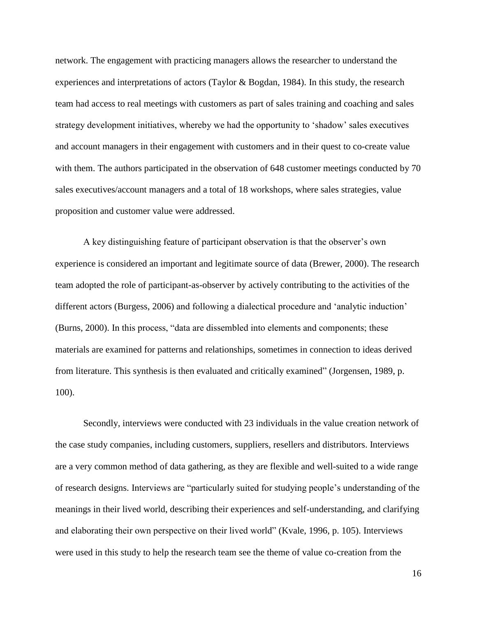network. The engagement with practicing managers allows the researcher to understand the experiences and interpretations of actors (Taylor & Bogdan, 1984). In this study, the research team had access to real meetings with customers as part of sales training and coaching and sales strategy development initiatives, whereby we had the opportunity to 'shadow' sales executives and account managers in their engagement with customers and in their quest to co-create value with them. The authors participated in the observation of 648 customer meetings conducted by 70 sales executives/account managers and a total of 18 workshops, where sales strategies, value proposition and customer value were addressed.

A key distinguishing feature of participant observation is that the observer's own experience is considered an important and legitimate source of data (Brewer, 2000). The research team adopted the role of participant-as-observer by actively contributing to the activities of the different actors (Burgess, 2006) and following a dialectical procedure and 'analytic induction' (Burns, 2000). In this process, "data are dissembled into elements and components; these materials are examined for patterns and relationships, sometimes in connection to ideas derived from literature. This synthesis is then evaluated and critically examined" (Jorgensen, 1989, p. 100).

Secondly, interviews were conducted with 23 individuals in the value creation network of the case study companies, including customers, suppliers, resellers and distributors. Interviews are a very common method of data gathering, as they are flexible and well-suited to a wide range of research designs. Interviews are "particularly suited for studying people's understanding of the meanings in their lived world, describing their experiences and self-understanding, and clarifying and elaborating their own perspective on their lived world" (Kvale, 1996, p. 105). Interviews were used in this study to help the research team see the theme of value co-creation from the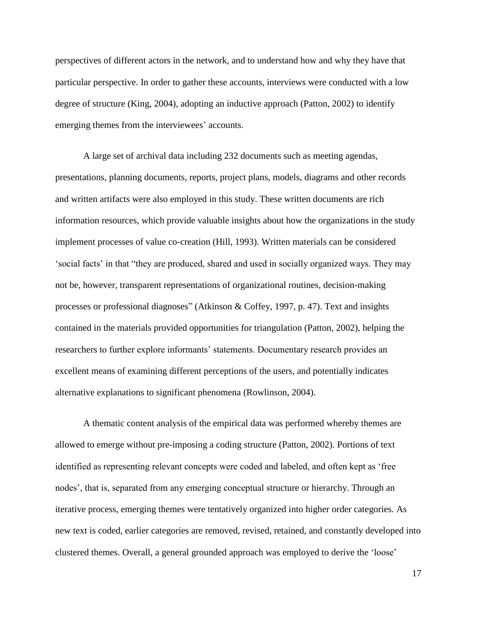perspectives of different actors in the network, and to understand how and why they have that particular perspective. In order to gather these accounts, interviews were conducted with a low degree of structure (King, 2004), adopting an inductive approach (Patton, 2002) to identify emerging themes from the interviewees' accounts.

A large set of archival data including 232 documents such as meeting agendas, presentations, planning documents, reports, project plans, models, diagrams and other records and written artifacts were also employed in this study. These written documents are rich information resources, which provide valuable insights about how the organizations in the study implement processes of value co-creation (Hill, 1993). Written materials can be considered 'social facts' in that "they are produced, shared and used in socially organized ways. They may not be, however, transparent representations of organizational routines, decision-making processes or professional diagnoses" (Atkinson & Coffey, 1997, p. 47). Text and insights contained in the materials provided opportunities for triangulation (Patton, 2002), helping the researchers to further explore informants' statements. Documentary research provides an excellent means of examining different perceptions of the users, and potentially indicates alternative explanations to significant phenomena (Rowlinson, 2004).

A thematic content analysis of the empirical data was performed whereby themes are allowed to emerge without pre-imposing a coding structure (Patton, 2002). Portions of text identified as representing relevant concepts were coded and labeled, and often kept as 'free nodes', that is, separated from any emerging conceptual structure or hierarchy. Through an iterative process, emerging themes were tentatively organized into higher order categories. As new text is coded, earlier categories are removed, revised, retained, and constantly developed into clustered themes. Overall, a general grounded approach was employed to derive the 'loose'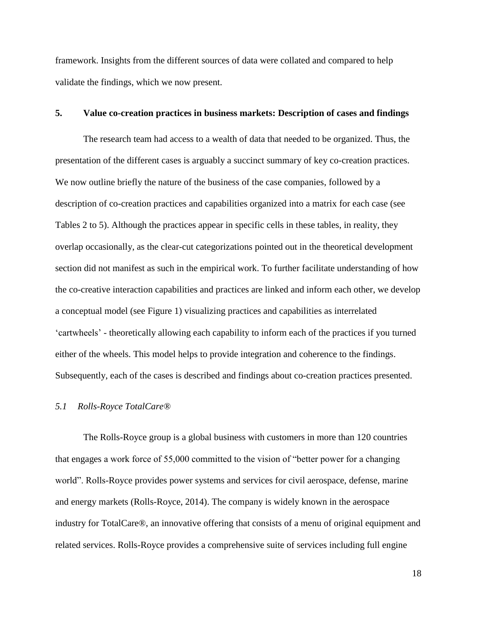framework. Insights from the different sources of data were collated and compared to help validate the findings, which we now present.

### **5. Value co-creation practices in business markets: Description of cases and findings**

The research team had access to a wealth of data that needed to be organized. Thus, the presentation of the different cases is arguably a succinct summary of key co-creation practices. We now outline briefly the nature of the business of the case companies, followed by a description of co-creation practices and capabilities organized into a matrix for each case (see Tables 2 to 5). Although the practices appear in specific cells in these tables, in reality, they overlap occasionally, as the clear-cut categorizations pointed out in the theoretical development section did not manifest as such in the empirical work. To further facilitate understanding of how the co-creative interaction capabilities and practices are linked and inform each other, we develop a conceptual model (see Figure 1) visualizing practices and capabilities as interrelated 'cartwheels' - theoretically allowing each capability to inform each of the practices if you turned either of the wheels. This model helps to provide integration and coherence to the findings. Subsequently, each of the cases is described and findings about co-creation practices presented.

#### *5.1 Rolls-Royce TotalCare®*

The Rolls-Royce group is a global business with customers in more than 120 countries that engages a work force of 55,000 committed to the vision of "better power for a changing world". Rolls-Royce provides power systems and services for civil aerospace, defense, marine and energy markets (Rolls-Royce, 2014). The company is widely known in the aerospace industry for TotalCare®, an innovative offering that consists of a menu of original equipment and related services. Rolls-Royce provides a comprehensive suite of services including full engine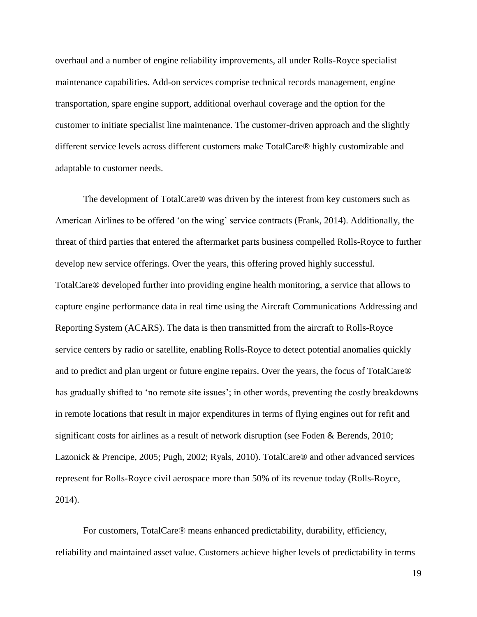overhaul and a number of engine reliability improvements, all under Rolls-Royce specialist maintenance capabilities. Add-on services comprise technical records management, engine transportation, spare engine support, additional overhaul coverage and the option for the customer to initiate specialist line maintenance. The customer-driven approach and the slightly different service levels across different customers make TotalCare® highly customizable and adaptable to customer needs.

The development of TotalCare® was driven by the interest from key customers such as American Airlines to be offered 'on the wing' service contracts (Frank, 2014). Additionally, the threat of third parties that entered the aftermarket parts business compelled Rolls-Royce to further develop new service offerings. Over the years, this offering proved highly successful. TotalCare® developed further into providing engine health monitoring, a service that allows to capture engine performance data in real time using the Aircraft Communications Addressing and Reporting System (ACARS). The data is then transmitted from the aircraft to Rolls-Royce service centers by radio or satellite, enabling Rolls-Royce to detect potential anomalies quickly and to predict and plan urgent or future engine repairs. Over the years, the focus of TotalCare® has gradually shifted to 'no remote site issues'; in other words, preventing the costly breakdowns in remote locations that result in major expenditures in terms of flying engines out for refit and significant costs for airlines as a result of network disruption (see Foden & Berends, 2010; Lazonick & Prencipe, 2005; Pugh, 2002; Ryals, 2010). TotalCare® and other advanced services represent for Rolls-Royce civil aerospace more than 50% of its revenue today (Rolls-Royce, 2014).

For customers, TotalCare® means enhanced predictability, durability, efficiency, reliability and maintained asset value. Customers achieve higher levels of predictability in terms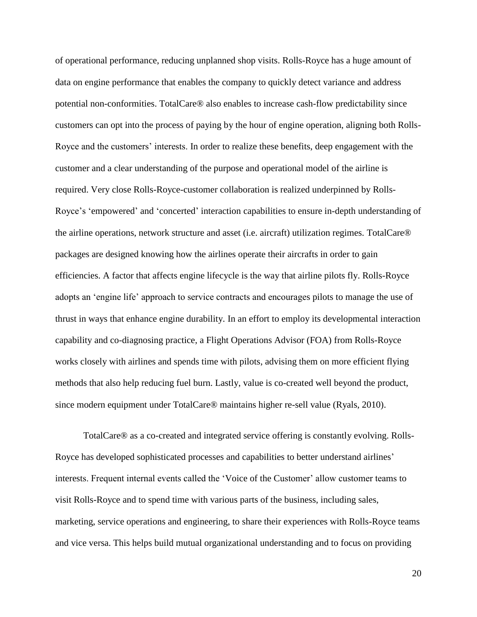of operational performance, reducing unplanned shop visits. Rolls-Royce has a huge amount of data on engine performance that enables the company to quickly detect variance and address potential non-conformities. TotalCare® also enables to increase cash-flow predictability since customers can opt into the process of paying by the hour of engine operation, aligning both Rolls-Royce and the customers' interests. In order to realize these benefits, deep engagement with the customer and a clear understanding of the purpose and operational model of the airline is required. Very close Rolls-Royce-customer collaboration is realized underpinned by Rolls-Royce's 'empowered' and 'concerted' interaction capabilities to ensure in-depth understanding of the airline operations, network structure and asset (i.e. aircraft) utilization regimes. TotalCare® packages are designed knowing how the airlines operate their aircrafts in order to gain efficiencies. A factor that affects engine lifecycle is the way that airline pilots fly. Rolls-Royce adopts an 'engine life' approach to service contracts and encourages pilots to manage the use of thrust in ways that enhance engine durability. In an effort to employ its developmental interaction capability and co-diagnosing practice, a Flight Operations Advisor (FOA) from Rolls-Royce works closely with airlines and spends time with pilots, advising them on more efficient flying methods that also help reducing fuel burn. Lastly, value is co-created well beyond the product, since modern equipment under TotalCare® maintains higher re-sell value (Ryals, 2010).

TotalCare® as a co-created and integrated service offering is constantly evolving. Rolls-Royce has developed sophisticated processes and capabilities to better understand airlines' interests. Frequent internal events called the 'Voice of the Customer' allow customer teams to visit Rolls-Royce and to spend time with various parts of the business, including sales, marketing, service operations and engineering, to share their experiences with Rolls-Royce teams and vice versa. This helps build mutual organizational understanding and to focus on providing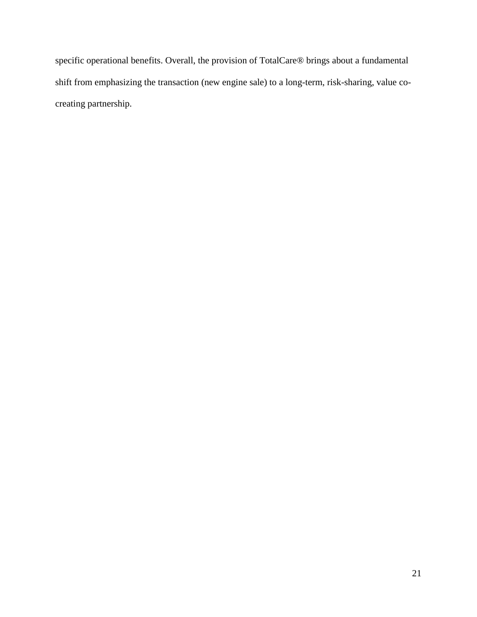specific operational benefits. Overall, the provision of TotalCare® brings about a fundamental shift from emphasizing the transaction (new engine sale) to a long-term, risk-sharing, value cocreating partnership.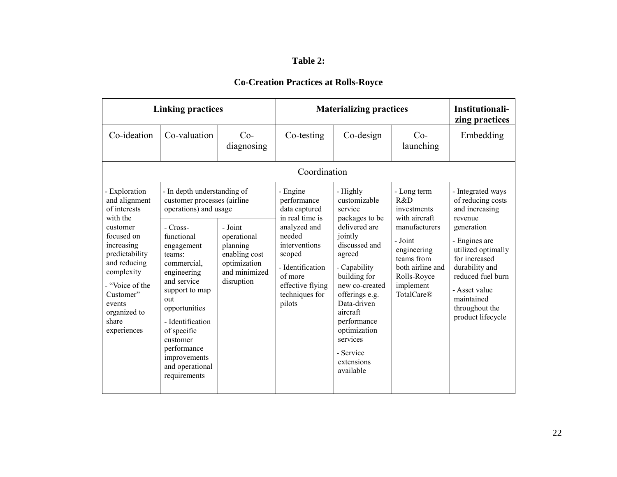## **Table 2:**

| <b>Linking practices</b>                                                                                                                                                                                                             |                                                                                                                                                                                                                                                                                                                                                                                                                                      |                     | <b>Materializing practices</b>                                                                                                                                                                  |                                                                                                                                                                                                                                                                                                |                                                                                                                                                                           | Institutionali-<br>zing practices                                                                                                                                                                                                                      |  |  |
|--------------------------------------------------------------------------------------------------------------------------------------------------------------------------------------------------------------------------------------|--------------------------------------------------------------------------------------------------------------------------------------------------------------------------------------------------------------------------------------------------------------------------------------------------------------------------------------------------------------------------------------------------------------------------------------|---------------------|-------------------------------------------------------------------------------------------------------------------------------------------------------------------------------------------------|------------------------------------------------------------------------------------------------------------------------------------------------------------------------------------------------------------------------------------------------------------------------------------------------|---------------------------------------------------------------------------------------------------------------------------------------------------------------------------|--------------------------------------------------------------------------------------------------------------------------------------------------------------------------------------------------------------------------------------------------------|--|--|
| Co-ideation                                                                                                                                                                                                                          | Co-valuation                                                                                                                                                                                                                                                                                                                                                                                                                         | $Co-$<br>diagnosing | Co-testing                                                                                                                                                                                      | Co-design                                                                                                                                                                                                                                                                                      | $Co-$<br>launching                                                                                                                                                        | Embedding                                                                                                                                                                                                                                              |  |  |
| Coordination                                                                                                                                                                                                                         |                                                                                                                                                                                                                                                                                                                                                                                                                                      |                     |                                                                                                                                                                                                 |                                                                                                                                                                                                                                                                                                |                                                                                                                                                                           |                                                                                                                                                                                                                                                        |  |  |
| - Exploration<br>and alignment<br>of interests<br>with the<br>customer<br>focused on<br>increasing<br>predictability<br>and reducing<br>complexity<br>- "Voice of the<br>Customer"<br>events<br>organized to<br>share<br>experiences | - In depth understanding of<br>customer processes (airline<br>operations) and usage<br>$-Cross-$<br>- Joint<br>functional<br>operational<br>planning<br>engagement<br>enabling cost<br>teams:<br>optimization<br>commercial.<br>and minimized<br>engineering<br>and service<br>disruption<br>support to map<br>out<br>opportunities<br>- Identification<br>of specific<br>customer<br>performance<br>improvements<br>and operational |                     | - Engine<br>performance<br>data captured<br>in real time is<br>analyzed and<br>needed<br>interventions<br>scoped<br>- Identification<br>of more<br>effective flying<br>techniques for<br>pilots | - Highly<br>customizable<br>service<br>packages to be<br>delivered are<br>jointly<br>discussed and<br>agreed<br>- Capability<br>building for<br>new co-created<br>offerings e.g.<br>Data-driven<br>aircraft<br>performance<br>optimization<br>services<br>- Service<br>extensions<br>available | - Long term<br>R&D<br>investments<br>with aircraft<br>manufacturers<br>- Joint<br>engineering<br>teams from<br>both airline and<br>Rolls-Royce<br>implement<br>TotalCare® | - Integrated ways<br>of reducing costs<br>and increasing<br>revenue<br>generation<br>- Engines are<br>utilized optimally<br>for increased<br>durability and<br>reduced fuel burn<br>- Asset value<br>maintained<br>throughout the<br>product lifecycle |  |  |

# **Co-Creation Practices at Rolls-Royce**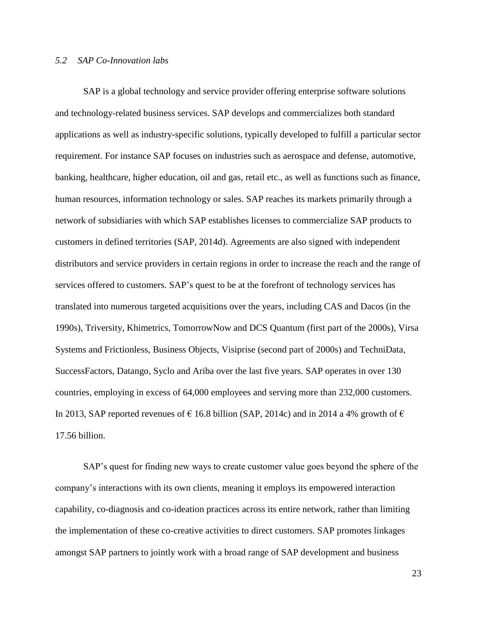### *5.2 SAP Co-Innovation labs*

SAP is a global technology and service provider offering enterprise software solutions and technology-related business services. SAP develops and commercializes both standard applications as well as industry-specific solutions, typically developed to fulfill a particular sector requirement. For instance SAP focuses on industries such as aerospace and defense, automotive, banking, healthcare, higher education, oil and gas, retail etc., as well as functions such as finance, human resources, information technology or sales. SAP reaches its markets primarily through a network of subsidiaries with which SAP establishes licenses to commercialize SAP products to customers in defined territories (SAP, 2014d). Agreements are also signed with independent distributors and service providers in certain regions in order to increase the reach and the range of services offered to customers. SAP's quest to be at the forefront of technology services has translated into numerous targeted acquisitions over the years, including CAS and Dacos (in the 1990s), Triversity, Khimetrics, TomorrowNow and DCS Quantum (first part of the 2000s), Virsa Systems and Frictionless, Business Objects, Visiprise (second part of 2000s) and TechniData, SuccessFactors, Datango, Syclo and Ariba over the last five years. SAP operates in over 130 countries, employing in excess of 64,000 employees and serving more than 232,000 customers. In 2013, SAP reported revenues of  $\epsilon$  16.8 billion (SAP, 2014c) and in 2014 a 4% growth of  $\epsilon$ 17.56 billion.

SAP's quest for finding new ways to create customer value goes beyond the sphere of the company's interactions with its own clients, meaning it employs its empowered interaction capability, co-diagnosis and co-ideation practices across its entire network, rather than limiting the implementation of these co-creative activities to direct customers. SAP promotes linkages amongst SAP partners to jointly work with a broad range of SAP development and business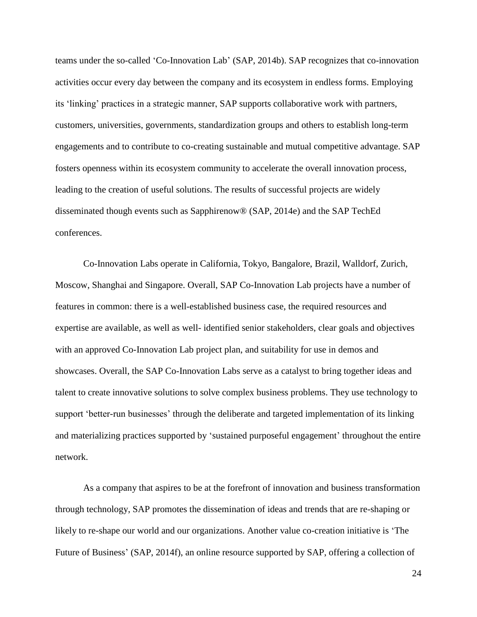teams under the so-called 'Co-Innovation Lab' (SAP, 2014b). SAP recognizes that co-innovation activities occur every day between the company and its ecosystem in endless forms. Employing its 'linking' practices in a strategic manner, SAP supports collaborative work with partners, customers, universities, governments, standardization groups and others to establish long-term engagements and to contribute to co-creating sustainable and mutual competitive advantage. SAP fosters openness within its ecosystem community to accelerate the overall innovation process, leading to the creation of useful solutions. The results of successful projects are widely disseminated though events such as Sapphirenow® (SAP, 2014e) and the SAP TechEd conferences.

Co-Innovation Labs operate in California, Tokyo, Bangalore, Brazil, Walldorf, Zurich, Moscow, Shanghai and Singapore. Overall, SAP Co-Innovation Lab projects have a number of features in common: there is a well-established business case, the required resources and expertise are available, as well as well- identified senior stakeholders, clear goals and objectives with an approved Co-Innovation Lab project plan, and suitability for use in demos and showcases. Overall, the SAP Co-Innovation Labs serve as a catalyst to bring together ideas and talent to create innovative solutions to solve complex business problems. They use technology to support 'better-run businesses' through the deliberate and targeted implementation of its linking and materializing practices supported by 'sustained purposeful engagement' throughout the entire network.

As a company that aspires to be at the forefront of innovation and business transformation through technology, SAP promotes the dissemination of ideas and trends that are re-shaping or likely to re-shape our world and our organizations. Another value co-creation initiative is 'The Future of Business' (SAP, 2014f), an online resource supported by SAP, offering a collection of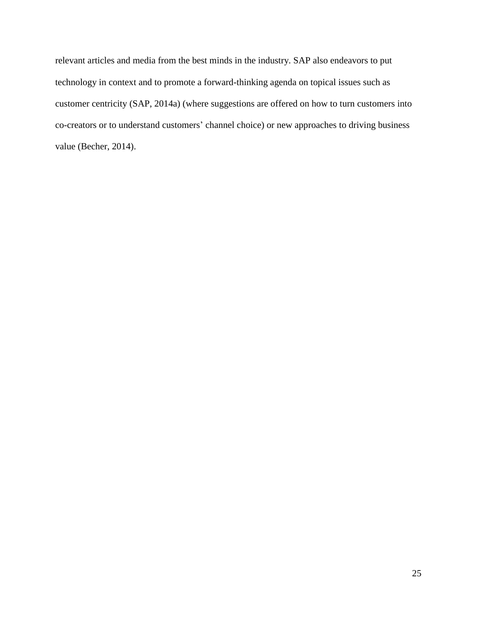relevant articles and media from the best minds in the industry. SAP also endeavors to put technology in context and to promote a forward-thinking agenda on topical issues such as customer centricity (SAP, 2014a) (where suggestions are offered on how to turn customers into co-creators or to understand customers' channel choice) or new approaches to driving business value (Becher, 2014).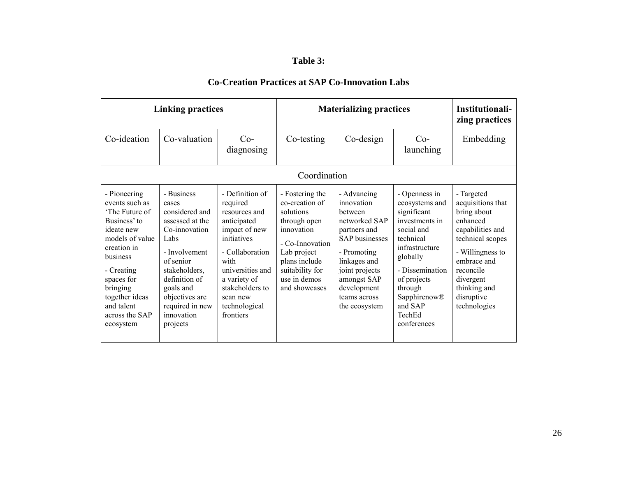## **Table 3:**

| <b>Linking practices</b>                                                                                                                                                                                                            |                                                                                                                                                                                                                               |                                                                                                                                                                                                                         | <b>Materializing practices</b>                                                                                                                                                      |                                                                                                                                                                                                                |                                                                                                                                                                                                                            | Institutionali-<br>zing practices                                                                                                                                                                             |
|-------------------------------------------------------------------------------------------------------------------------------------------------------------------------------------------------------------------------------------|-------------------------------------------------------------------------------------------------------------------------------------------------------------------------------------------------------------------------------|-------------------------------------------------------------------------------------------------------------------------------------------------------------------------------------------------------------------------|-------------------------------------------------------------------------------------------------------------------------------------------------------------------------------------|----------------------------------------------------------------------------------------------------------------------------------------------------------------------------------------------------------------|----------------------------------------------------------------------------------------------------------------------------------------------------------------------------------------------------------------------------|---------------------------------------------------------------------------------------------------------------------------------------------------------------------------------------------------------------|
| Co-ideation                                                                                                                                                                                                                         | Co-valuation                                                                                                                                                                                                                  | $Co-$<br>diagnosing                                                                                                                                                                                                     | Co-testing                                                                                                                                                                          | Co-design                                                                                                                                                                                                      | $Co-$<br>launching                                                                                                                                                                                                         | Embedding                                                                                                                                                                                                     |
|                                                                                                                                                                                                                                     |                                                                                                                                                                                                                               |                                                                                                                                                                                                                         | Coordination                                                                                                                                                                        |                                                                                                                                                                                                                |                                                                                                                                                                                                                            |                                                                                                                                                                                                               |
| - Pioneering<br>events such as<br>'The Future of<br>Business' to<br>ideate new<br>models of value<br>creation in<br>business<br>- Creating<br>spaces for<br>bringing<br>together ideas<br>and talent<br>across the SAP<br>ecosystem | - Business<br>cases<br>considered and<br>assessed at the<br>Co-innovation<br>Labs<br>- Involvement<br>of senior<br>stakeholders,<br>definition of<br>goals and<br>objectives are<br>required in new<br>innovation<br>projects | - Definition of<br>required<br>resources and<br>anticipated<br>impact of new<br>initiatives<br>- Collaboration<br>with<br>universities and<br>a variety of<br>stakeholders to<br>scan new<br>technological<br>frontiers | - Fostering the<br>co-creation of<br>solutions<br>through open<br>innovation<br>- Co-Innovation<br>Lab project<br>plans include<br>suitability for<br>use in demos<br>and showcases | - Advancing<br>innovation<br>hetween<br>networked SAP<br>partners and<br><b>SAP</b> businesses<br>- Promoting<br>linkages and<br>joint projects<br>amongst SAP<br>development<br>teams across<br>the ecosystem | - Openness in<br>ecosystems and<br>significant<br>investments in<br>social and<br>technical<br>infrastructure<br>globally<br>- Dissemination<br>of projects<br>through<br>Sapphirenow®<br>and SAP<br>TechEd<br>conferences | - Targeted<br>acquisitions that<br>bring about<br>enhanced<br>capabilities and<br>technical scopes<br>- Willingness to<br>embrace and<br>reconcile<br>divergent<br>thinking and<br>disruptive<br>technologies |

# **Co-Creation Practices at SAP Co-Innovation Labs**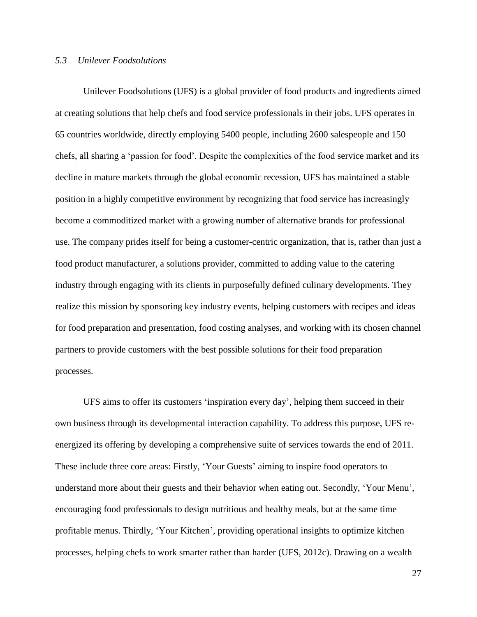### *5.3 Unilever Foodsolutions*

Unilever Foodsolutions (UFS) is a global provider of food products and ingredients aimed at creating solutions that help chefs and food service professionals in their jobs. UFS operates in 65 countries worldwide, directly employing 5400 people, including 2600 salespeople and 150 chefs, all sharing a 'passion for food'. Despite the complexities of the food service market and its decline in mature markets through the global economic recession, UFS has maintained a stable position in a highly competitive environment by recognizing that food service has increasingly become a commoditized market with a growing number of alternative brands for professional use. The company prides itself for being a customer-centric organization, that is, rather than just a food product manufacturer, a solutions provider, committed to adding value to the catering industry through engaging with its clients in purposefully defined culinary developments. They realize this mission by sponsoring key industry events, helping customers with recipes and ideas for food preparation and presentation, food costing analyses, and working with its chosen channel partners to provide customers with the best possible solutions for their food preparation processes.

UFS aims to offer its customers 'inspiration every day', helping them succeed in their own business through its developmental interaction capability. To address this purpose, UFS reenergized its offering by developing a comprehensive suite of services towards the end of 2011. These include three core areas: Firstly, 'Your Guests' aiming to inspire food operators to understand more about their guests and their behavior when eating out. Secondly, 'Your Menu', encouraging food professionals to design nutritious and healthy meals, but at the same time profitable menus. Thirdly, 'Your Kitchen', providing operational insights to optimize kitchen processes, helping chefs to work smarter rather than harder (UFS, 2012c). Drawing on a wealth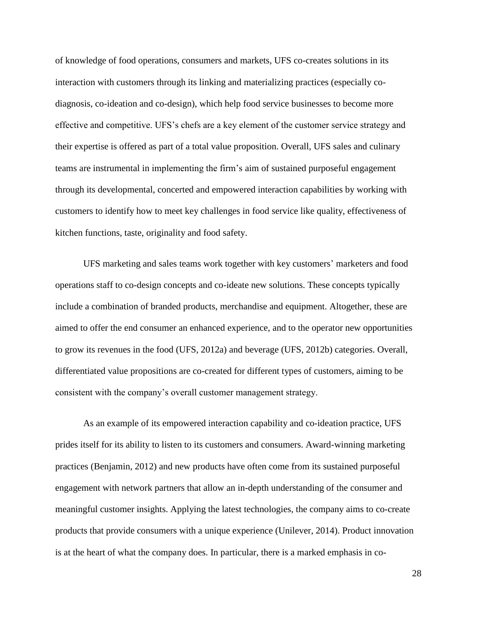of knowledge of food operations, consumers and markets, UFS co-creates solutions in its interaction with customers through its linking and materializing practices (especially codiagnosis, co-ideation and co-design), which help food service businesses to become more effective and competitive. UFS's chefs are a key element of the customer service strategy and their expertise is offered as part of a total value proposition. Overall, UFS sales and culinary teams are instrumental in implementing the firm's aim of sustained purposeful engagement through its developmental, concerted and empowered interaction capabilities by working with customers to identify how to meet key challenges in food service like quality, effectiveness of kitchen functions, taste, originality and food safety.

UFS marketing and sales teams work together with key customers' marketers and food operations staff to co-design concepts and co-ideate new solutions. These concepts typically include a combination of branded products, merchandise and equipment. Altogether, these are aimed to offer the end consumer an enhanced experience, and to the operator new opportunities to grow its revenues in the food (UFS, 2012a) and beverage (UFS, 2012b) categories. Overall, differentiated value propositions are co-created for different types of customers, aiming to be consistent with the company's overall customer management strategy.

As an example of its empowered interaction capability and co-ideation practice, UFS prides itself for its ability to listen to its customers and consumers. Award-winning marketing practices (Benjamin, 2012) and new products have often come from its sustained purposeful engagement with network partners that allow an in-depth understanding of the consumer and meaningful customer insights. Applying the latest technologies, the company aims to co-create products that provide consumers with a unique experience (Unilever, 2014). Product innovation is at the heart of what the company does. In particular, there is a marked emphasis in co-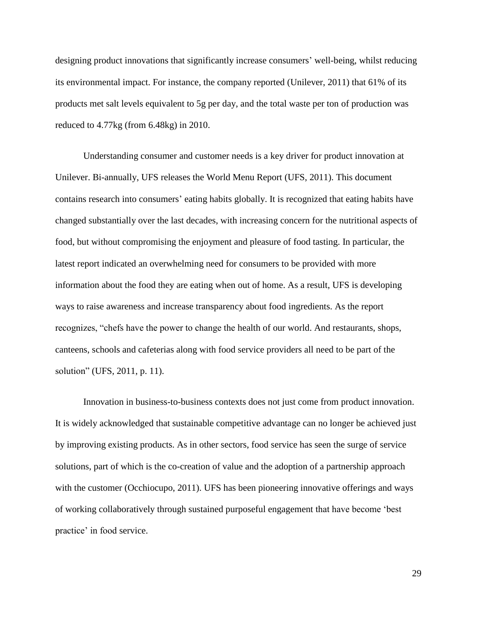designing product innovations that significantly increase consumers' well-being, whilst reducing its environmental impact. For instance, the company reported (Unilever, 2011) that 61% of its products met salt levels equivalent to 5g per day, and the total waste per ton of production was reduced to 4.77kg (from 6.48kg) in 2010.

Understanding consumer and customer needs is a key driver for product innovation at Unilever. Bi-annually, UFS releases the World Menu Report (UFS, 2011). This document contains research into consumers' eating habits globally. It is recognized that eating habits have changed substantially over the last decades, with increasing concern for the nutritional aspects of food, but without compromising the enjoyment and pleasure of food tasting. In particular, the latest report indicated an overwhelming need for consumers to be provided with more information about the food they are eating when out of home. As a result, UFS is developing ways to raise awareness and increase transparency about food ingredients. As the report recognizes, "chefs have the power to change the health of our world. And restaurants, shops, canteens, schools and cafeterias along with food service providers all need to be part of the solution" (UFS, 2011, p. 11).

Innovation in business-to-business contexts does not just come from product innovation. It is widely acknowledged that sustainable competitive advantage can no longer be achieved just by improving existing products. As in other sectors, food service has seen the surge of service solutions, part of which is the co-creation of value and the adoption of a partnership approach with the customer (Occhiocupo, 2011). UFS has been pioneering innovative offerings and ways of working collaboratively through sustained purposeful engagement that have become 'best practice' in food service.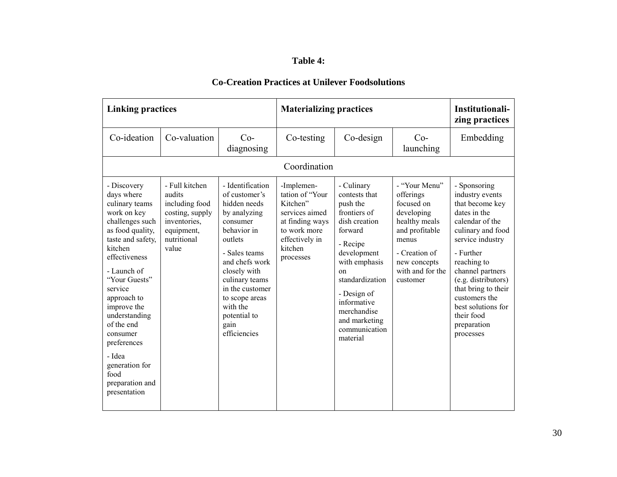## **Table 4:**

| <b>Linking practices</b>                                                                                                                                                                                                                                                                                                                                     |                                                                                                                     |                                                                                                                                                                                                                                                                       | <b>Materializing practices</b>                                                                                                           | Institutionali-<br>zing practices                                                                                                                                                                                                                            |                                                                                                                                                                     |                                                                                                                                                                                                                                                                                                               |
|--------------------------------------------------------------------------------------------------------------------------------------------------------------------------------------------------------------------------------------------------------------------------------------------------------------------------------------------------------------|---------------------------------------------------------------------------------------------------------------------|-----------------------------------------------------------------------------------------------------------------------------------------------------------------------------------------------------------------------------------------------------------------------|------------------------------------------------------------------------------------------------------------------------------------------|--------------------------------------------------------------------------------------------------------------------------------------------------------------------------------------------------------------------------------------------------------------|---------------------------------------------------------------------------------------------------------------------------------------------------------------------|---------------------------------------------------------------------------------------------------------------------------------------------------------------------------------------------------------------------------------------------------------------------------------------------------------------|
| Co-ideation                                                                                                                                                                                                                                                                                                                                                  | Co-valuation                                                                                                        | $Co-$<br>diagnosing                                                                                                                                                                                                                                                   | Co-testing                                                                                                                               | Co-design                                                                                                                                                                                                                                                    | $Co-$<br>launching                                                                                                                                                  | Embedding                                                                                                                                                                                                                                                                                                     |
|                                                                                                                                                                                                                                                                                                                                                              |                                                                                                                     |                                                                                                                                                                                                                                                                       | Coordination                                                                                                                             |                                                                                                                                                                                                                                                              |                                                                                                                                                                     |                                                                                                                                                                                                                                                                                                               |
| - Discovery<br>days where<br>culinary teams<br>work on key<br>challenges such<br>as food quality,<br>taste and safety,<br>kitchen<br>effectiveness<br>- Launch of<br>"Your Guests"<br>service<br>approach to<br>improve the<br>understanding<br>of the end<br>consumer<br>preferences<br>- Idea<br>generation for<br>food<br>preparation and<br>presentation | - Full kitchen<br>audits<br>including food<br>costing, supply<br>inventories,<br>equipment,<br>nutritional<br>value | - Identification<br>of customer's<br>hidden needs<br>by analyzing<br>consumer<br>behavior in<br>outlets<br>- Sales teams<br>and chefs work<br>closely with<br>culinary teams<br>in the customer<br>to scope areas<br>with the<br>potential to<br>gain<br>efficiencies | -Implemen-<br>tation of "Your<br>Kitchen"<br>services aimed<br>at finding ways<br>to work more<br>effectively in<br>kitchen<br>processes | - Culinary<br>contests that<br>push the<br>frontiers of<br>dish creation<br>forward<br>- Recipe<br>development<br>with emphasis<br>$_{\rm on}$<br>standardization<br>- Design of<br>informative<br>merchandise<br>and marketing<br>communication<br>material | - "Your Menu"<br>offerings<br>focused on<br>developing<br>healthy meals<br>and profitable<br>menus<br>- Creation of<br>new concepts<br>with and for the<br>customer | - Sponsoring<br>industry events<br>that become key<br>dates in the<br>calendar of the<br>culinary and food<br>service industry<br>- Further<br>reaching to<br>channel partners<br>(e.g. distributors)<br>that bring to their<br>customers the<br>best solutions for<br>their food<br>preparation<br>processes |

## **Co-Creation Practices at Unilever Foodsolutions**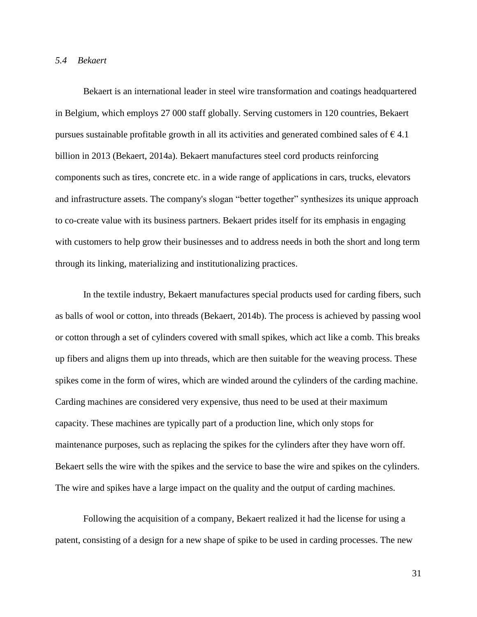### *5.4 Bekaert*

Bekaert is an international leader in steel wire transformation and coatings headquartered in Belgium, which employs 27 000 staff globally. Serving customers in 120 countries, Bekaert pursues sustainable profitable growth in all its activities and generated combined sales of  $\epsilon$  4.1 billion in 2013 (Bekaert, 2014a). Bekaert manufactures steel cord products reinforcing components such as tires, concrete etc. in a wide range of applications in cars, trucks, elevators and infrastructure assets. The company's slogan "better together" synthesizes its unique approach to co-create value with its business partners. Bekaert prides itself for its emphasis in engaging with customers to help grow their businesses and to address needs in both the short and long term through its linking, materializing and institutionalizing practices.

In the textile industry, Bekaert manufactures special products used for carding fibers, such as balls of wool or cotton, into threads (Bekaert, 2014b). The process is achieved by passing wool or cotton through a set of cylinders covered with small spikes, which act like a comb. This breaks up fibers and aligns them up into threads, which are then suitable for the weaving process. These spikes come in the form of wires, which are winded around the cylinders of the carding machine. Carding machines are considered very expensive, thus need to be used at their maximum capacity. These machines are typically part of a production line, which only stops for maintenance purposes, such as replacing the spikes for the cylinders after they have worn off. Bekaert sells the wire with the spikes and the service to base the wire and spikes on the cylinders. The wire and spikes have a large impact on the quality and the output of carding machines.

Following the acquisition of a company, Bekaert realized it had the license for using a patent, consisting of a design for a new shape of spike to be used in carding processes. The new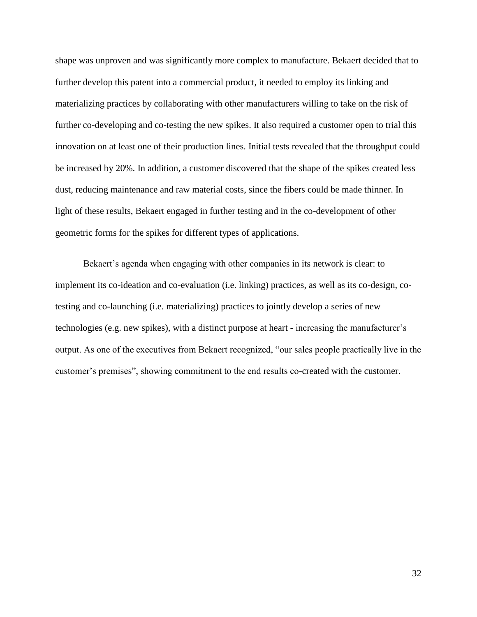shape was unproven and was significantly more complex to manufacture. Bekaert decided that to further develop this patent into a commercial product, it needed to employ its linking and materializing practices by collaborating with other manufacturers willing to take on the risk of further co-developing and co-testing the new spikes. It also required a customer open to trial this innovation on at least one of their production lines. Initial tests revealed that the throughput could be increased by 20%. In addition, a customer discovered that the shape of the spikes created less dust, reducing maintenance and raw material costs, since the fibers could be made thinner. In light of these results, Bekaert engaged in further testing and in the co-development of other geometric forms for the spikes for different types of applications.

Bekaert's agenda when engaging with other companies in its network is clear: to implement its co-ideation and co-evaluation (i.e. linking) practices, as well as its co-design, cotesting and co-launching (i.e. materializing) practices to jointly develop a series of new technologies (e.g. new spikes), with a distinct purpose at heart - increasing the manufacturer's output. As one of the executives from Bekaert recognized, "our sales people practically live in the customer's premises", showing commitment to the end results co-created with the customer.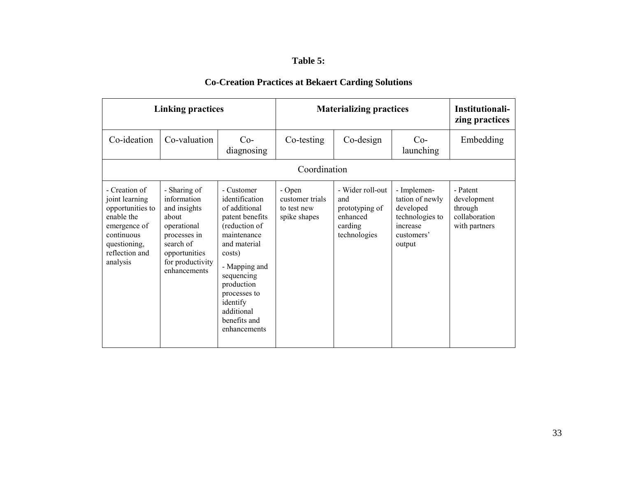# **Table 5:**

| <b>Linking practices</b>                                                                                                                      |                                                                                                                                                       |                                                                                                                                                                                                                                                   | <b>Materializing practices</b>                           |                                                                                  |                                                                                                    | Institutionali-<br>zing practices                                    |  |
|-----------------------------------------------------------------------------------------------------------------------------------------------|-------------------------------------------------------------------------------------------------------------------------------------------------------|---------------------------------------------------------------------------------------------------------------------------------------------------------------------------------------------------------------------------------------------------|----------------------------------------------------------|----------------------------------------------------------------------------------|----------------------------------------------------------------------------------------------------|----------------------------------------------------------------------|--|
| Co-ideation                                                                                                                                   | Co-valuation<br>$Co-$<br>diagnosing                                                                                                                   |                                                                                                                                                                                                                                                   | Co-testing                                               | Co-design                                                                        | $Co-$<br>launching                                                                                 | Embedding                                                            |  |
| Coordination                                                                                                                                  |                                                                                                                                                       |                                                                                                                                                                                                                                                   |                                                          |                                                                                  |                                                                                                    |                                                                      |  |
| - Creation of<br>joint learning<br>opportunities to<br>enable the<br>emergence of<br>continuous<br>questioning,<br>reflection and<br>analysis | - Sharing of<br>information<br>and insights<br>about<br>operational<br>processes in<br>search of<br>opportunities<br>for productivity<br>enhancements | - Customer<br>identification<br>of additional<br>patent benefits<br>(reduction of<br>maintenance<br>and material<br>costs)<br>- Mapping and<br>sequencing<br>production<br>processes to<br>identify<br>additional<br>benefits and<br>enhancements | - Open<br>customer trials<br>to test new<br>spike shapes | - Wider roll-out<br>and<br>prototyping of<br>enhanced<br>carding<br>technologies | - Implemen-<br>tation of newly<br>developed<br>technologies to<br>increase<br>customers'<br>output | - Patent<br>development<br>through<br>collaboration<br>with partners |  |

# **Co-Creation Practices at Bekaert Carding Solutions**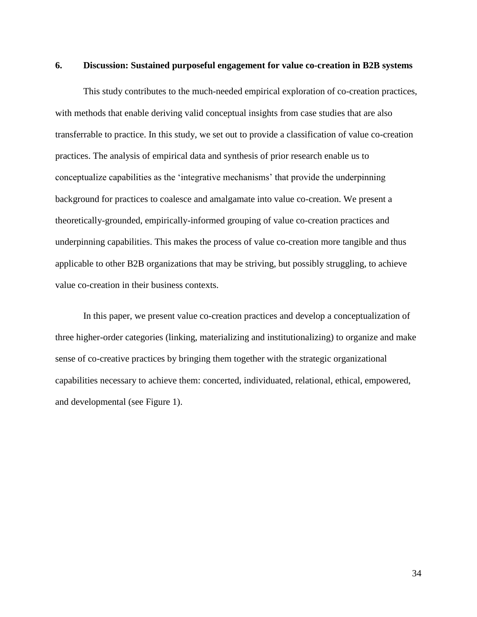### **6. Discussion: Sustained purposeful engagement for value co-creation in B2B systems**

This study contributes to the much-needed empirical exploration of co-creation practices, with methods that enable deriving valid conceptual insights from case studies that are also transferrable to practice. In this study, we set out to provide a classification of value co-creation practices. The analysis of empirical data and synthesis of prior research enable us to conceptualize capabilities as the 'integrative mechanisms' that provide the underpinning background for practices to coalesce and amalgamate into value co-creation. We present a theoretically-grounded, empirically-informed grouping of value co-creation practices and underpinning capabilities. This makes the process of value co-creation more tangible and thus applicable to other B2B organizations that may be striving, but possibly struggling, to achieve value co-creation in their business contexts.

In this paper, we present value co-creation practices and develop a conceptualization of three higher-order categories (linking, materializing and institutionalizing) to organize and make sense of co-creative practices by bringing them together with the strategic organizational capabilities necessary to achieve them: concerted, individuated, relational, ethical, empowered, and developmental (see Figure 1).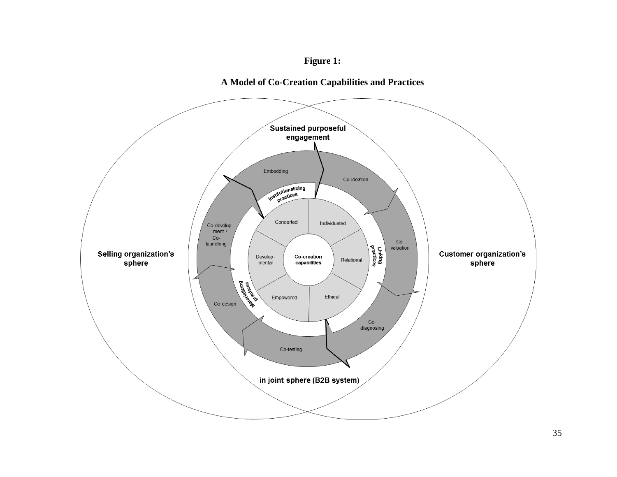## **Figure 1:**

## **A Model of Co-Creation Capabilities and Practices**

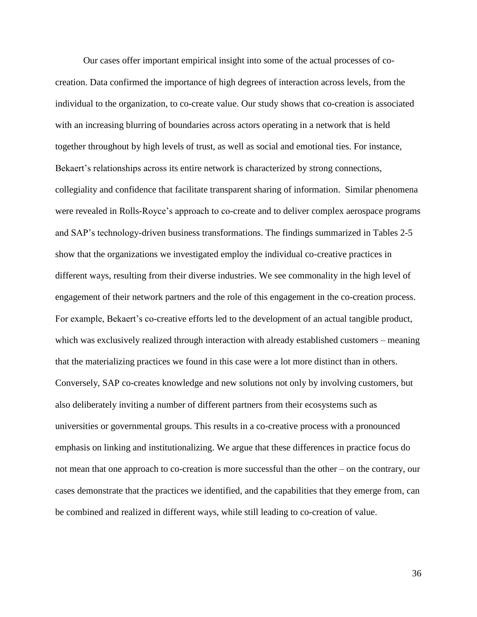Our cases offer important empirical insight into some of the actual processes of cocreation. Data confirmed the importance of high degrees of interaction across levels, from the individual to the organization, to co-create value. Our study shows that co-creation is associated with an increasing blurring of boundaries across actors operating in a network that is held together throughout by high levels of trust, as well as social and emotional ties. For instance, Bekaert's relationships across its entire network is characterized by strong connections, collegiality and confidence that facilitate transparent sharing of information. Similar phenomena were revealed in Rolls-Royce's approach to co-create and to deliver complex aerospace programs and SAP's technology-driven business transformations. The findings summarized in Tables 2-5 show that the organizations we investigated employ the individual co-creative practices in different ways, resulting from their diverse industries. We see commonality in the high level of engagement of their network partners and the role of this engagement in the co-creation process. For example, Bekaert's co-creative efforts led to the development of an actual tangible product, which was exclusively realized through interaction with already established customers – meaning that the materializing practices we found in this case were a lot more distinct than in others. Conversely, SAP co-creates knowledge and new solutions not only by involving customers, but also deliberately inviting a number of different partners from their ecosystems such as universities or governmental groups. This results in a co-creative process with a pronounced emphasis on linking and institutionalizing. We argue that these differences in practice focus do not mean that one approach to co-creation is more successful than the other – on the contrary, our cases demonstrate that the practices we identified, and the capabilities that they emerge from, can be combined and realized in different ways, while still leading to co-creation of value.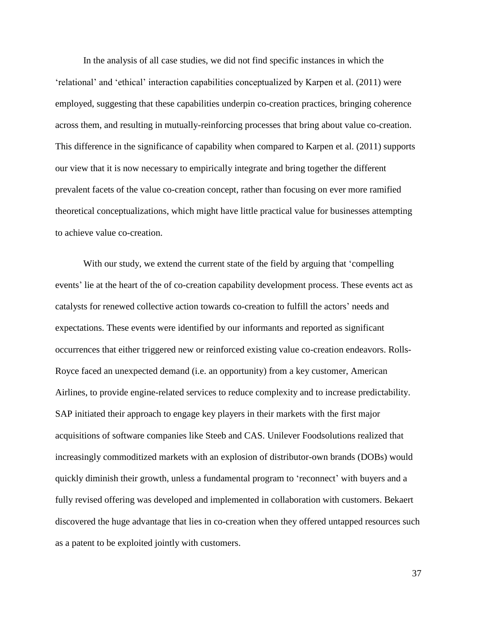In the analysis of all case studies, we did not find specific instances in which the 'relational' and 'ethical' interaction capabilities conceptualized by Karpen et al. (2011) were employed, suggesting that these capabilities underpin co-creation practices, bringing coherence across them, and resulting in mutually-reinforcing processes that bring about value co-creation. This difference in the significance of capability when compared to Karpen et al. (2011) supports our view that it is now necessary to empirically integrate and bring together the different prevalent facets of the value co-creation concept, rather than focusing on ever more ramified theoretical conceptualizations, which might have little practical value for businesses attempting to achieve value co-creation.

With our study, we extend the current state of the field by arguing that 'compelling events' lie at the heart of the of co-creation capability development process. These events act as catalysts for renewed collective action towards co-creation to fulfill the actors' needs and expectations. These events were identified by our informants and reported as significant occurrences that either triggered new or reinforced existing value co-creation endeavors. Rolls-Royce faced an unexpected demand (i.e. an opportunity) from a key customer, American Airlines, to provide engine-related services to reduce complexity and to increase predictability. SAP initiated their approach to engage key players in their markets with the first major acquisitions of software companies like Steeb and CAS. Unilever Foodsolutions realized that increasingly commoditized markets with an explosion of distributor-own brands (DOBs) would quickly diminish their growth, unless a fundamental program to 'reconnect' with buyers and a fully revised offering was developed and implemented in collaboration with customers. Bekaert discovered the huge advantage that lies in co-creation when they offered untapped resources such as a patent to be exploited jointly with customers.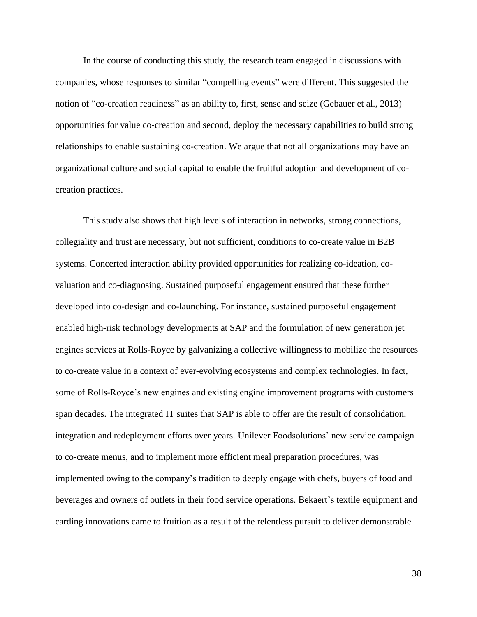In the course of conducting this study, the research team engaged in discussions with companies, whose responses to similar "compelling events" were different. This suggested the notion of "co-creation readiness" as an ability to, first, sense and seize (Gebauer et al., 2013) opportunities for value co-creation and second, deploy the necessary capabilities to build strong relationships to enable sustaining co-creation. We argue that not all organizations may have an organizational culture and social capital to enable the fruitful adoption and development of cocreation practices.

This study also shows that high levels of interaction in networks, strong connections, collegiality and trust are necessary, but not sufficient, conditions to co-create value in B2B systems. Concerted interaction ability provided opportunities for realizing co-ideation, covaluation and co-diagnosing. Sustained purposeful engagement ensured that these further developed into co-design and co-launching. For instance, sustained purposeful engagement enabled high-risk technology developments at SAP and the formulation of new generation jet engines services at Rolls-Royce by galvanizing a collective willingness to mobilize the resources to co-create value in a context of ever-evolving ecosystems and complex technologies. In fact, some of Rolls-Royce's new engines and existing engine improvement programs with customers span decades. The integrated IT suites that SAP is able to offer are the result of consolidation, integration and redeployment efforts over years. Unilever Foodsolutions' new service campaign to co-create menus, and to implement more efficient meal preparation procedures, was implemented owing to the company's tradition to deeply engage with chefs, buyers of food and beverages and owners of outlets in their food service operations. Bekaert's textile equipment and carding innovations came to fruition as a result of the relentless pursuit to deliver demonstrable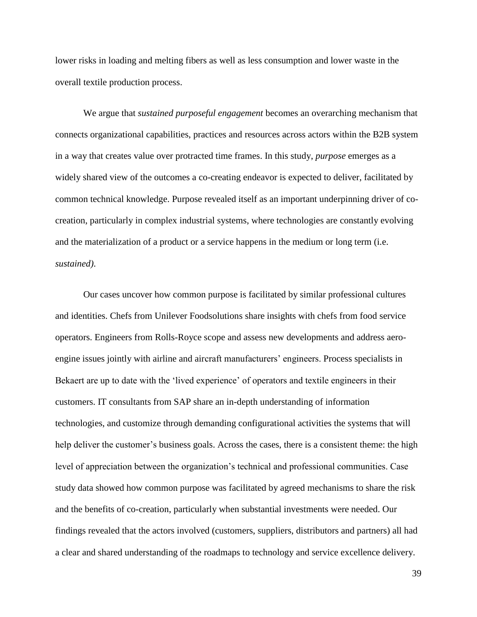lower risks in loading and melting fibers as well as less consumption and lower waste in the overall textile production process.

We argue that *sustained purposeful engagement* becomes an overarching mechanism that connects organizational capabilities, practices and resources across actors within the B2B system in a way that creates value over protracted time frames. In this study, *purpose* emerges as a widely shared view of the outcomes a co-creating endeavor is expected to deliver, facilitated by common technical knowledge. Purpose revealed itself as an important underpinning driver of cocreation, particularly in complex industrial systems, where technologies are constantly evolving and the materialization of a product or a service happens in the medium or long term (i.e. *sustained)*.

Our cases uncover how common purpose is facilitated by similar professional cultures and identities. Chefs from Unilever Foodsolutions share insights with chefs from food service operators. Engineers from Rolls-Royce scope and assess new developments and address aeroengine issues jointly with airline and aircraft manufacturers' engineers. Process specialists in Bekaert are up to date with the 'lived experience' of operators and textile engineers in their customers. IT consultants from SAP share an in-depth understanding of information technologies, and customize through demanding configurational activities the systems that will help deliver the customer's business goals. Across the cases, there is a consistent theme: the high level of appreciation between the organization's technical and professional communities. Case study data showed how common purpose was facilitated by agreed mechanisms to share the risk and the benefits of co-creation, particularly when substantial investments were needed. Our findings revealed that the actors involved (customers, suppliers, distributors and partners) all had a clear and shared understanding of the roadmaps to technology and service excellence delivery.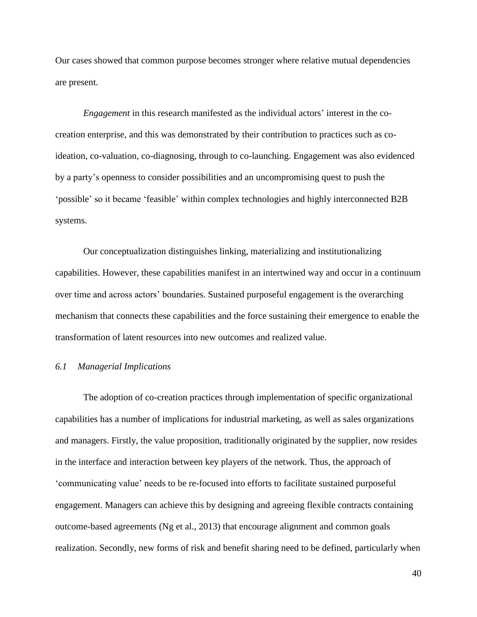Our cases showed that common purpose becomes stronger where relative mutual dependencies are present.

*Engagement* in this research manifested as the individual actors' interest in the cocreation enterprise, and this was demonstrated by their contribution to practices such as coideation, co-valuation, co-diagnosing, through to co-launching. Engagement was also evidenced by a party's openness to consider possibilities and an uncompromising quest to push the 'possible' so it became 'feasible' within complex technologies and highly interconnected B2B systems.

Our conceptualization distinguishes linking, materializing and institutionalizing capabilities. However, these capabilities manifest in an intertwined way and occur in a continuum over time and across actors' boundaries. Sustained purposeful engagement is the overarching mechanism that connects these capabilities and the force sustaining their emergence to enable the transformation of latent resources into new outcomes and realized value.

### *6.1 Managerial Implications*

The adoption of co-creation practices through implementation of specific organizational capabilities has a number of implications for industrial marketing, as well as sales organizations and managers. Firstly, the value proposition, traditionally originated by the supplier, now resides in the interface and interaction between key players of the network. Thus, the approach of 'communicating value' needs to be re-focused into efforts to facilitate sustained purposeful engagement. Managers can achieve this by designing and agreeing flexible contracts containing outcome-based agreements (Ng et al., 2013) that encourage alignment and common goals realization. Secondly, new forms of risk and benefit sharing need to be defined, particularly when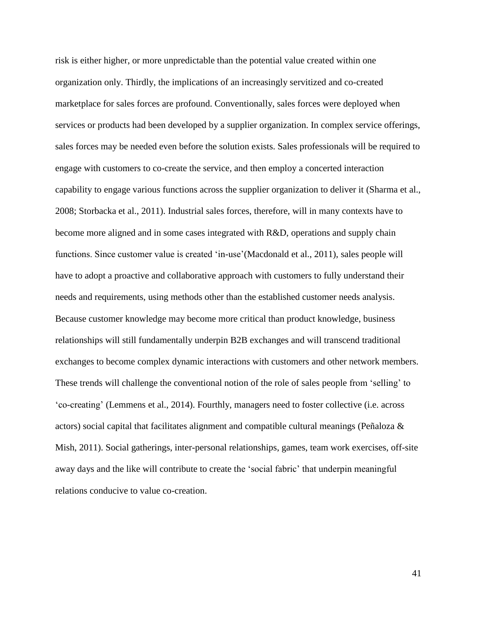risk is either higher, or more unpredictable than the potential value created within one organization only. Thirdly, the implications of an increasingly servitized and co-created marketplace for sales forces are profound. Conventionally, sales forces were deployed when services or products had been developed by a supplier organization. In complex service offerings, sales forces may be needed even before the solution exists. Sales professionals will be required to engage with customers to co-create the service, and then employ a concerted interaction capability to engage various functions across the supplier organization to deliver it (Sharma et al., 2008; Storbacka et al., 2011). Industrial sales forces, therefore, will in many contexts have to become more aligned and in some cases integrated with R&D, operations and supply chain functions. Since customer value is created 'in-use'(Macdonald et al., 2011), sales people will have to adopt a proactive and collaborative approach with customers to fully understand their needs and requirements, using methods other than the established customer needs analysis. Because customer knowledge may become more critical than product knowledge, business relationships will still fundamentally underpin B2B exchanges and will transcend traditional exchanges to become complex dynamic interactions with customers and other network members. These trends will challenge the conventional notion of the role of sales people from 'selling' to 'co-creating' (Lemmens et al., 2014). Fourthly, managers need to foster collective (i.e. across actors) social capital that facilitates alignment and compatible cultural meanings (Peñaloza  $\&$ Mish, 2011). Social gatherings, inter-personal relationships, games, team work exercises, off-site away days and the like will contribute to create the 'social fabric' that underpin meaningful relations conducive to value co-creation.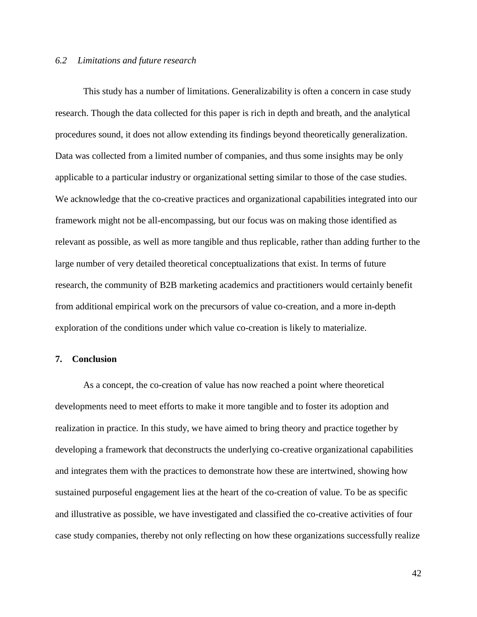#### *6.2 Limitations and future research*

This study has a number of limitations. Generalizability is often a concern in case study research. Though the data collected for this paper is rich in depth and breath, and the analytical procedures sound, it does not allow extending its findings beyond theoretically generalization. Data was collected from a limited number of companies, and thus some insights may be only applicable to a particular industry or organizational setting similar to those of the case studies. We acknowledge that the co-creative practices and organizational capabilities integrated into our framework might not be all-encompassing, but our focus was on making those identified as relevant as possible, as well as more tangible and thus replicable, rather than adding further to the large number of very detailed theoretical conceptualizations that exist. In terms of future research, the community of B2B marketing academics and practitioners would certainly benefit from additional empirical work on the precursors of value co-creation, and a more in-depth exploration of the conditions under which value co-creation is likely to materialize.

#### **7. Conclusion**

As a concept, the co-creation of value has now reached a point where theoretical developments need to meet efforts to make it more tangible and to foster its adoption and realization in practice. In this study, we have aimed to bring theory and practice together by developing a framework that deconstructs the underlying co-creative organizational capabilities and integrates them with the practices to demonstrate how these are intertwined, showing how sustained purposeful engagement lies at the heart of the co-creation of value. To be as specific and illustrative as possible, we have investigated and classified the co-creative activities of four case study companies, thereby not only reflecting on how these organizations successfully realize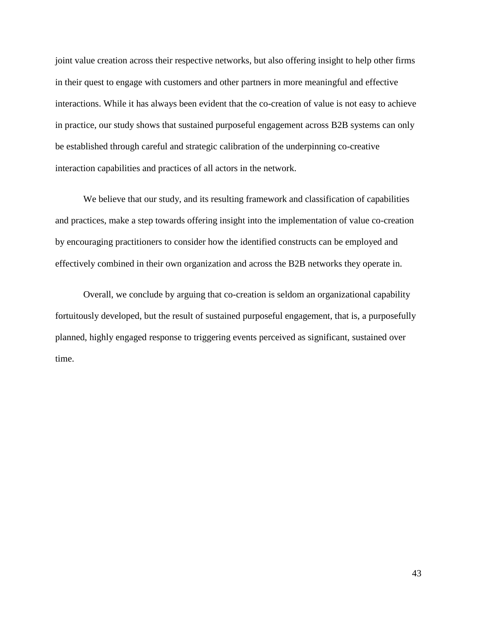joint value creation across their respective networks, but also offering insight to help other firms in their quest to engage with customers and other partners in more meaningful and effective interactions. While it has always been evident that the co-creation of value is not easy to achieve in practice, our study shows that sustained purposeful engagement across B2B systems can only be established through careful and strategic calibration of the underpinning co-creative interaction capabilities and practices of all actors in the network.

We believe that our study, and its resulting framework and classification of capabilities and practices, make a step towards offering insight into the implementation of value co-creation by encouraging practitioners to consider how the identified constructs can be employed and effectively combined in their own organization and across the B2B networks they operate in.

Overall, we conclude by arguing that co-creation is seldom an organizational capability fortuitously developed, but the result of sustained purposeful engagement, that is, a purposefully planned, highly engaged response to triggering events perceived as significant, sustained over time.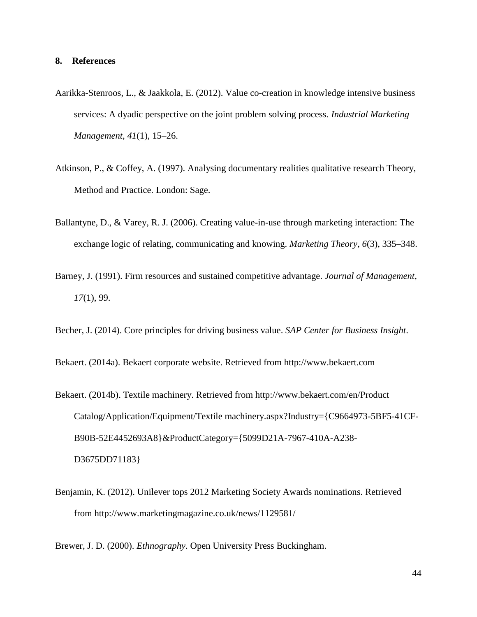### **8. References**

- Aarikka-Stenroos, L., & Jaakkola, E. (2012). Value co-creation in knowledge intensive business services: A dyadic perspective on the joint problem solving process. *Industrial Marketing Management*, *41*(1), 15–26.
- Atkinson, P., & Coffey, A. (1997). Analysing documentary realities qualitative research Theory, Method and Practice. London: Sage.
- Ballantyne, D., & Varey, R. J. (2006). Creating value-in-use through marketing interaction: The exchange logic of relating, communicating and knowing. *Marketing Theory*, *6*(3), 335–348.
- Barney, J. (1991). Firm resources and sustained competitive advantage. *Journal of Management*, *17*(1), 99.
- Becher, J. (2014). Core principles for driving business value. *SAP Center for Business Insight*.

Bekaert. (2014a). Bekaert corporate website. Retrieved from http://www.bekaert.com

- Bekaert. (2014b). Textile machinery. Retrieved from http://www.bekaert.com/en/Product Catalog/Application/Equipment/Textile machinery.aspx?Industry={C9664973-5BF5-41CF-B90B-52E4452693A8}&ProductCategory={5099D21A-7967-410A-A238- D3675DD71183}
- Benjamin, K. (2012). Unilever tops 2012 Marketing Society Awards nominations. Retrieved from http://www.marketingmagazine.co.uk/news/1129581/

Brewer, J. D. (2000). *Ethnography*. Open University Press Buckingham.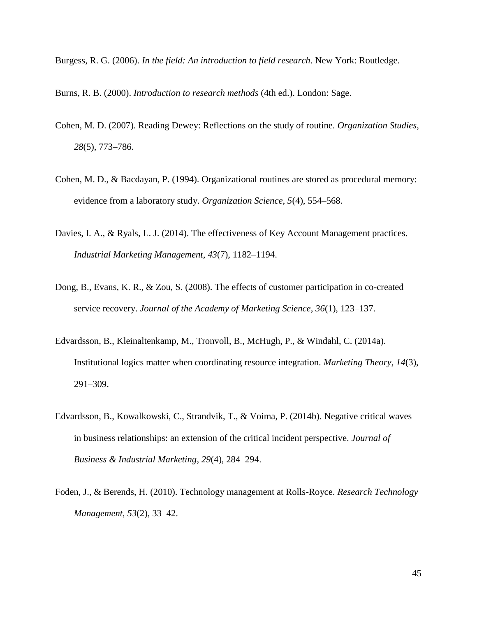- Burgess, R. G. (2006). *In the field: An introduction to field research*. New York: Routledge.
- Burns, R. B. (2000). *Introduction to research methods* (4th ed.). London: Sage.
- Cohen, M. D. (2007). Reading Dewey: Reflections on the study of routine. *Organization Studies*, *28*(5), 773–786.
- Cohen, M. D., & Bacdayan, P. (1994). Organizational routines are stored as procedural memory: evidence from a laboratory study. *Organization Science*, *5*(4), 554–568.
- Davies, I. A., & Ryals, L. J. (2014). The effectiveness of Key Account Management practices. *Industrial Marketing Management*, *43*(7), 1182–1194.
- Dong, B., Evans, K. R., & Zou, S. (2008). The effects of customer participation in co-created service recovery. *Journal of the Academy of Marketing Science*, *36*(1), 123–137.
- Edvardsson, B., Kleinaltenkamp, M., Tronvoll, B., McHugh, P., & Windahl, C. (2014a). Institutional logics matter when coordinating resource integration. *Marketing Theory*, *14*(3), 291–309.
- Edvardsson, B., Kowalkowski, C., Strandvik, T., & Voima, P. (2014b). Negative critical waves in business relationships: an extension of the critical incident perspective. *Journal of Business & Industrial Marketing*, *29*(4), 284–294.
- Foden, J., & Berends, H. (2010). Technology management at Rolls-Royce. *Research Technology Management*, *53*(2), 33–42.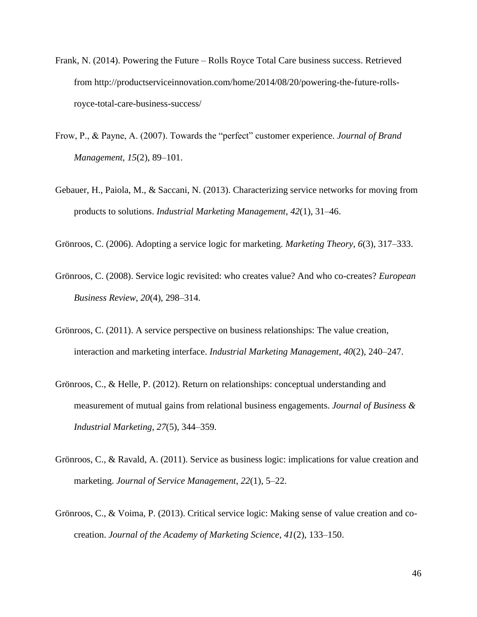- Frank, N. (2014). Powering the Future Rolls Royce Total Care business success. Retrieved from http://productserviceinnovation.com/home/2014/08/20/powering-the-future-rollsroyce-total-care-business-success/
- Frow, P., & Payne, A. (2007). Towards the "perfect" customer experience. *Journal of Brand Management*, *15*(2), 89–101.
- Gebauer, H., Paiola, M., & Saccani, N. (2013). Characterizing service networks for moving from products to solutions. *Industrial Marketing Management*, *42*(1), 31–46.
- Grönroos, C. (2006). Adopting a service logic for marketing. *Marketing Theory*, *6*(3), 317–333.
- Grönroos, C. (2008). Service logic revisited: who creates value? And who co-creates? *European Business Review*, *20*(4), 298–314.
- Grönroos, C. (2011). A service perspective on business relationships: The value creation, interaction and marketing interface. *Industrial Marketing Management*, *40*(2), 240–247.
- Grönroos, C., & Helle, P. (2012). Return on relationships: conceptual understanding and measurement of mutual gains from relational business engagements. *Journal of Business & Industrial Marketing*, *27*(5), 344–359.
- Grönroos, C., & Ravald, A. (2011). Service as business logic: implications for value creation and marketing. *Journal of Service Management*, *22*(1), 5–22.
- Grönroos, C., & Voima, P. (2013). Critical service logic: Making sense of value creation and cocreation. *Journal of the Academy of Marketing Science*, *41*(2), 133–150.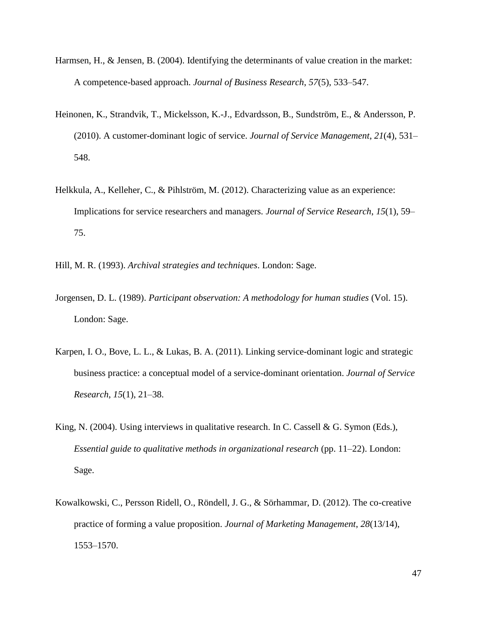- Harmsen, H., & Jensen, B. (2004). Identifying the determinants of value creation in the market: A competence-based approach. *Journal of Business Research*, *57*(5), 533–547.
- Heinonen, K., Strandvik, T., Mickelsson, K.-J., Edvardsson, B., Sundström, E., & Andersson, P. (2010). A customer-dominant logic of service. *Journal of Service Management*, *21*(4), 531– 548.
- Helkkula, A., Kelleher, C., & Pihlström, M. (2012). Characterizing value as an experience: Implications for service researchers and managers. *Journal of Service Research*, *15*(1), 59– 75.
- Hill, M. R. (1993). *Archival strategies and techniques*. London: Sage.
- Jorgensen, D. L. (1989). *Participant observation: A methodology for human studies* (Vol. 15). London: Sage.
- Karpen, I. O., Bove, L. L., & Lukas, B. A. (2011). Linking service-dominant logic and strategic business practice: a conceptual model of a service-dominant orientation. *Journal of Service Research*, *15*(1), 21–38.
- King, N. (2004). Using interviews in qualitative research. In C. Cassell & G. Symon (Eds.), *Essential guide to qualitative methods in organizational research* (pp. 11–22). London: Sage.
- Kowalkowski, C., Persson Ridell, O., Röndell, J. G., & Sörhammar, D. (2012). The co-creative practice of forming a value proposition. *Journal of Marketing Management*, *28*(13/14), 1553–1570.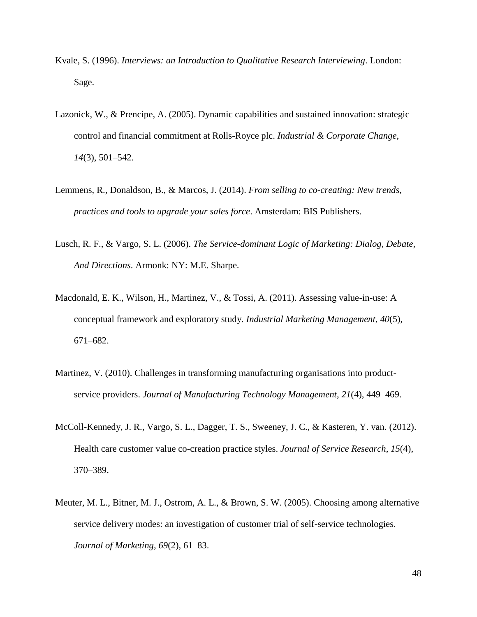- Kvale, S. (1996). *Interviews: an Introduction to Qualitative Research Interviewing*. London: Sage.
- Lazonick, W., & Prencipe, A. (2005). Dynamic capabilities and sustained innovation: strategic control and financial commitment at Rolls-Royce plc. *Industrial & Corporate Change*, *14*(3), 501–542.
- Lemmens, R., Donaldson, B., & Marcos, J. (2014). *From selling to co-creating: New trends, practices and tools to upgrade your sales force*. Amsterdam: BIS Publishers.
- Lusch, R. F., & Vargo, S. L. (2006). *The Service-dominant Logic of Marketing: Dialog, Debate, And Directions*. Armonk: NY: M.E. Sharpe.
- Macdonald, E. K., Wilson, H., Martinez, V., & Tossi, A. (2011). Assessing value-in-use: A conceptual framework and exploratory study. *Industrial Marketing Management*, *40*(5), 671–682.
- Martinez, V. (2010). Challenges in transforming manufacturing organisations into productservice providers. *Journal of Manufacturing Technology Management*, *21*(4), 449–469.
- McColl-Kennedy, J. R., Vargo, S. L., Dagger, T. S., Sweeney, J. C., & Kasteren, Y. van. (2012). Health care customer value co-creation practice styles. *Journal of Service Research*, *15*(4), 370–389.
- Meuter, M. L., Bitner, M. J., Ostrom, A. L., & Brown, S. W. (2005). Choosing among alternative service delivery modes: an investigation of customer trial of self-service technologies. *Journal of Marketing*, *69*(2), 61–83.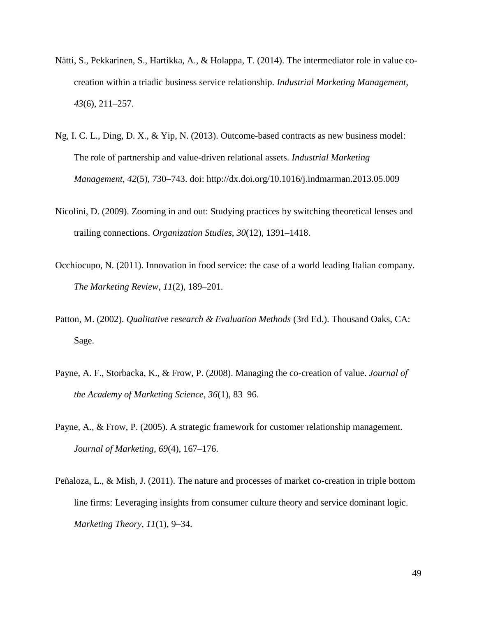- Nätti, S., Pekkarinen, S., Hartikka, A., & Holappa, T. (2014). The intermediator role in value cocreation within a triadic business service relationship. *Industrial Marketing Management*, *43*(6), 211–257.
- Ng, I. C. L., Ding, D. X., & Yip, N. (2013). Outcome-based contracts as new business model: The role of partnership and value-driven relational assets. *Industrial Marketing Management*, *42*(5), 730–743. doi: http://dx.doi.org/10.1016/j.indmarman.2013.05.009
- Nicolini, D. (2009). Zooming in and out: Studying practices by switching theoretical lenses and trailing connections. *Organization Studies*, *30*(12), 1391–1418.
- Occhiocupo, N. (2011). Innovation in food service: the case of a world leading Italian company. *The Marketing Review*, *11*(2), 189–201.
- Patton, M. (2002). *Qualitative research & Evaluation Methods* (3rd Ed.). Thousand Oaks, CA: Sage.
- Payne, A. F., Storbacka, K., & Frow, P. (2008). Managing the co-creation of value. *Journal of the Academy of Marketing Science*, *36*(1), 83–96.
- Payne, A., & Frow, P. (2005). A strategic framework for customer relationship management. *Journal of Marketing*, *69*(4), 167–176.
- Peñaloza, L., & Mish, J. (2011). The nature and processes of market co-creation in triple bottom line firms: Leveraging insights from consumer culture theory and service dominant logic. *Marketing Theory*, *11*(1), 9–34.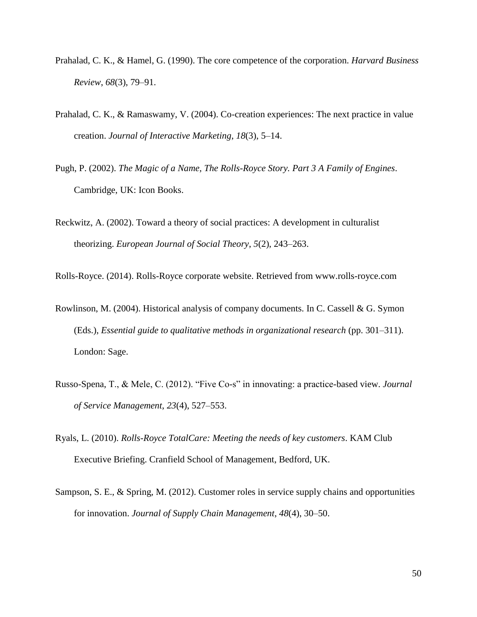- Prahalad, C. K., & Hamel, G. (1990). The core competence of the corporation. *Harvard Business Review*, *68*(3), 79–91.
- Prahalad, C. K., & Ramaswamy, V. (2004). Co-creation experiences: The next practice in value creation. *Journal of Interactive Marketing*, *18*(3), 5–14.
- Pugh, P. (2002). *The Magic of a Name, The Rolls-Royce Story. Part 3 A Family of Engines*. Cambridge, UK: Icon Books.
- Reckwitz, A. (2002). Toward a theory of social practices: A development in culturalist theorizing. *European Journal of Social Theory*, *5*(2), 243–263.

Rolls-Royce. (2014). Rolls-Royce corporate website. Retrieved from www.rolls-royce.com

- Rowlinson, M. (2004). Historical analysis of company documents. In C. Cassell & G. Symon (Eds.), *Essential guide to qualitative methods in organizational research* (pp. 301–311). London: Sage.
- Russo-Spena, T., & Mele, C. (2012). "Five Co-s" in innovating: a practice-based view. *Journal of Service Management*, *23*(4), 527–553.
- Ryals, L. (2010). *Rolls-Royce TotalCare: Meeting the needs of key customers*. KAM Club Executive Briefing. Cranfield School of Management, Bedford, UK.
- Sampson, S. E., & Spring, M. (2012). Customer roles in service supply chains and opportunities for innovation. *Journal of Supply Chain Management*, *48*(4), 30–50.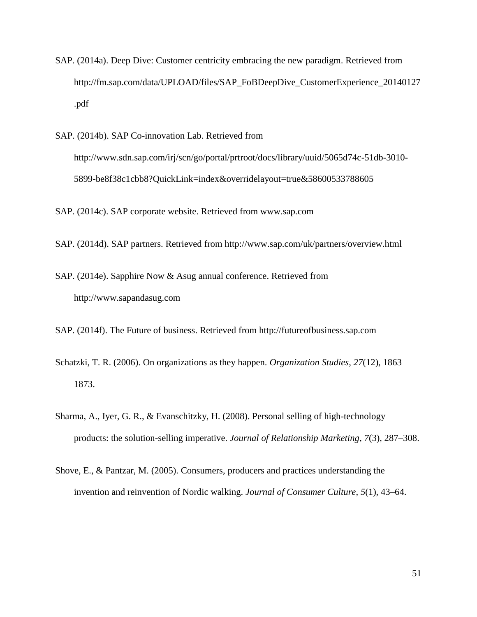- SAP. (2014a). Deep Dive: Customer centricity embracing the new paradigm. Retrieved from http://fm.sap.com/data/UPLOAD/files/SAP\_FoBDeepDive\_CustomerExperience\_20140127 .pdf
- SAP. (2014b). SAP Co-innovation Lab. Retrieved from http://www.sdn.sap.com/irj/scn/go/portal/prtroot/docs/library/uuid/5065d74c-51db-3010- 5899-be8f38c1cbb8?QuickLink=index&overridelayout=true&58600533788605

SAP. (2014c). SAP corporate website. Retrieved from www.sap.com

- SAP. (2014d). SAP partners. Retrieved from http://www.sap.com/uk/partners/overview.html
- SAP. (2014e). Sapphire Now & Asug annual conference. Retrieved from http://www.sapandasug.com
- SAP. (2014f). The Future of business. Retrieved from http://futureofbusiness.sap.com
- Schatzki, T. R. (2006). On organizations as they happen. *Organization Studies*, *27*(12), 1863– 1873.
- Sharma, A., Iyer, G. R., & Evanschitzky, H. (2008). Personal selling of high-technology products: the solution-selling imperative. *Journal of Relationship Marketing*, *7*(3), 287–308.
- Shove, E., & Pantzar, M. (2005). Consumers, producers and practices understanding the invention and reinvention of Nordic walking. *Journal of Consumer Culture*, *5*(1), 43–64.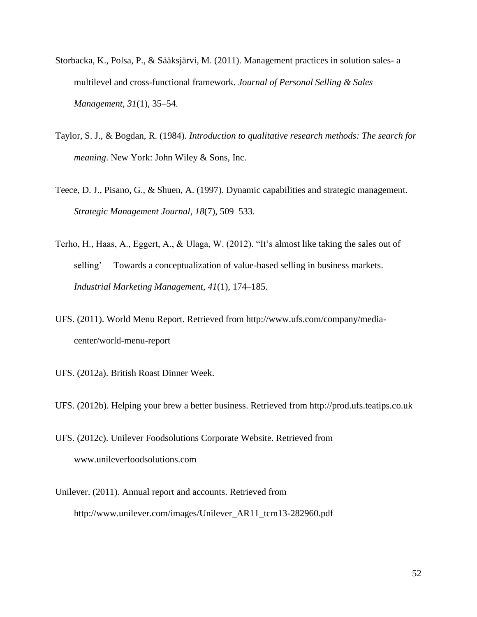- Storbacka, K., Polsa, P., & Sääksjärvi, M. (2011). Management practices in solution sales- a multilevel and cross-functional framework. *Journal of Personal Selling & Sales Management*, *31*(1), 35–54.
- Taylor, S. J., & Bogdan, R. (1984). *Introduction to qualitative research methods: The search for meaning*. New York: John Wiley & Sons, Inc.
- Teece, D. J., Pisano, G., & Shuen, A. (1997). Dynamic capabilities and strategic management. *Strategic Management Journal*, *18*(7), 509–533.
- Terho, H., Haas, A., Eggert, A., & Ulaga, W. (2012). "It's almost like taking the sales out of selling'— Towards a conceptualization of value-based selling in business markets. *Industrial Marketing Management*, *41*(1), 174–185.
- UFS. (2011). World Menu Report. Retrieved from http://www.ufs.com/company/mediacenter/world-menu-report
- UFS. (2012a). British Roast Dinner Week.
- UFS. (2012b). Helping your brew a better business. Retrieved from http://prod.ufs.teatips.co.uk
- UFS. (2012c). Unilever Foodsolutions Corporate Website. Retrieved from www.unileverfoodsolutions.com
- Unilever. (2011). Annual report and accounts. Retrieved from http://www.unilever.com/images/Unilever\_AR11\_tcm13-282960.pdf